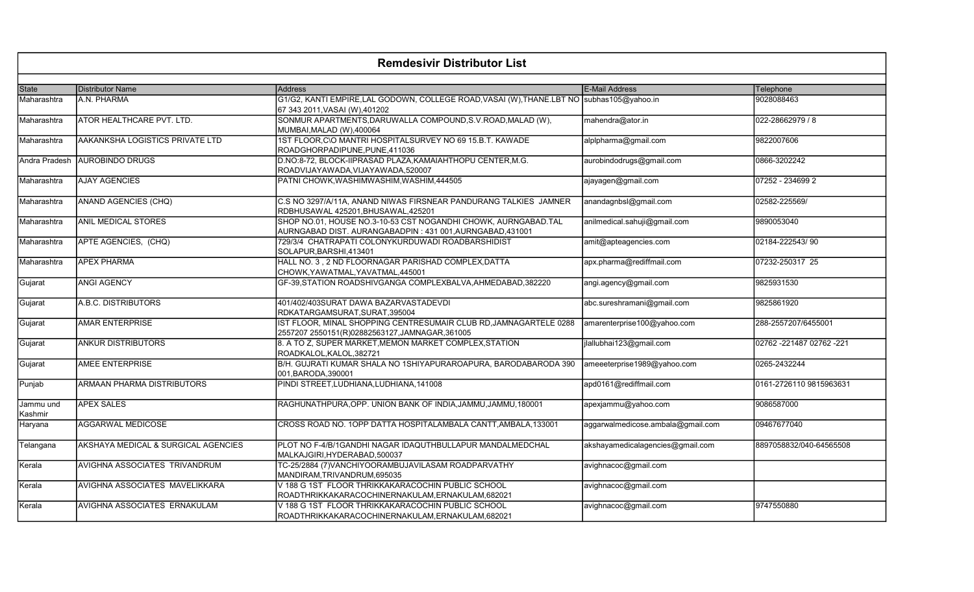| <b>Remdesivir Distributor List</b> |                                     |                                                                                                                             |                                   |                            |
|------------------------------------|-------------------------------------|-----------------------------------------------------------------------------------------------------------------------------|-----------------------------------|----------------------------|
|                                    |                                     |                                                                                                                             |                                   |                            |
| State                              | <b>Distributor Name</b>             | <b>Address</b>                                                                                                              | <b>E-Mail Address</b>             | Telephone                  |
| Maharashtra                        | A.N. PHARMA                         | G1/G2, KANTI EMPIRE,LAL GODOWN, COLLEGE ROAD,VASAI (W),THANE.LBT NO subhas105@yahoo.in<br>67 343 2011, VASAI (W), 401202    |                                   | 9028088463                 |
| Maharashtra                        | ATOR HEALTHCARE PVT. LTD.           | SONMUR APARTMENTS, DARUWALLA COMPOUND, S.V. ROAD, MALAD (W),<br>MUMBAI, MALAD (W), 400064                                   | mahendra@ator.in                  | 022-28662979 / 8           |
| Maharashtra                        | AAKANKSHA LOGISTICS PRIVATE LTD     | 1ST FLOOR, C\O MANTRI HOSPITALSURVEY NO 69 15.B.T. KAWADE<br>ROADGHORPADIPUNE, PUNE, 411036                                 | alplpharma@gmail.com              | 9822007606                 |
| <b>Andra Pradesh</b>               | <b>AUROBINDO DRUGS</b>              | D.NO:8-72, BLOCK-IIPRASAD PLAZA, KAMAIAHTHOPU CENTER, M.G.<br>ROADVIJAYAWADA, VIJAYAWADA, 520007                            | aurobindodrugs@gmail.com          | 0866-3202242               |
| Maharashtra                        | <b>AJAY AGENCIES</b>                | PATNI CHOWK, WASHIMWASHIM, WASHIM, 444505                                                                                   | ajayagen@gmail.com                | 07252 - 234699 2           |
| Maharashtra                        | ANAND AGENCIES (CHQ)                | C.S NO 3297/A/11A, ANAND NIWAS FIRSNEAR PANDURANG TALKIES JAMNER<br>RDBHUSAWAL 425201, BHUSAWAL, 425201                     | anandagnbsl@gmail.com             | 02582-225569/              |
| Maharashtra                        | <b>ANIL MEDICAL STORES</b>          | SHOP NO.01, HOUSE NO.3-10-53 CST NOGANDHI CHOWK, AURNGABAD.TAL<br>AURNGABAD DIST. AURANGABADPIN: 431 001, AURNGABAD, 431001 | anilmedical.sahuji@gmail.com      | 9890053040                 |
| Maharashtra                        | APTE AGENCIES, (CHQ)                | 729/3/4 CHATRAPATI COLONYKURDUWADI ROADBARSHIDIST<br>SOLAPUR, BARSHI, 413401                                                | amit@apteagencies.com             | 02184-222543/90            |
| Maharashtra                        | <b>APEX PHARMA</b>                  | HALL NO. 3, 2 ND FLOORNAGAR PARISHAD COMPLEX, DATTA<br>CHOWK, YAWATMAL, YAVATMAL, 445001                                    | apx.pharma@rediffmail.com         | 07232-250317 25            |
| Gujarat                            | ANGI AGENCY                         | GF-39, STATION ROADSHIVGANGA COMPLEXBALVA, AHMEDABAD, 382220                                                                | angi.agency@gmail.com             | 9825931530                 |
| Gujarat                            | A.B.C. DISTRIBUTORS                 | 401/402/403SURAT DAWA BAZARVASTADEVDI<br>RDKATARGAMSURAT, SURAT, 395004                                                     | abc.sureshramani@gmail.com        | 9825861920                 |
| Gujarat                            | <b>AMAR ENTERPRISE</b>              | IST FLOOR, MINAL SHOPPING CENTRESUMAIR CLUB RD, JAMNAGARTELE 0288<br>2557207 2550151(R)02882563127,JAMNAGAR,361005          | amarenterprise100@yahoo.com       | 288-2557207/6455001        |
| Gujarat                            | <b>ANKUR DISTRIBUTORS</b>           | 8. A TO Z, SUPER MARKET, MEMON MARKET COMPLEX, STATION<br>ROADKALOL, KALOL, 382721                                          | jlallubhai123@gmail.com           | 02762 - 221487 02762 - 221 |
| Gujarat                            | <b>AMEE ENTERPRISE</b>              | B/H. GUJRATI KUMAR SHALA NO 1SHIYAPURAROAPURA, BARODABARODA 390<br>001, BARODA, 390001                                      | ameeeterprise1989@yahoo.com       | 0265-2432244               |
| Punjab                             | ARMAAN PHARMA DISTRIBUTORS          | PINDI STREET, LUDHIANA, LUDHIANA, 141008                                                                                    | apd0161@rediffmail.com            | 0161-2726110 9815963631    |
| Jammu und<br>Kashmir               | <b>APEX SALES</b>                   | RAGHUNATHPURA, OPP. UNION BANK OF INDIA, JAMMU, JAMMU, 180001                                                               | apexjammu@yahoo.com               | 9086587000                 |
| Haryana                            | <b>AGGARWAL MEDICOSE</b>            | CROSS ROAD NO. 1OPP DATTA HOSPITALAMBALA CANTT, AMBALA, 133001                                                              | aggarwalmedicose.ambala@gmail.com | 09467677040                |
| Telangana                          | AKSHAYA MEDICAL & SURGICAL AGENCIES | PLOT NO F-4/B/1GANDHI NAGAR IDAQUTHBULLAPUR MANDALMEDCHAL<br>MALKAJGIRI, HYDERABAD, 500037                                  | akshayamedicalagencies@gmail.com  | 8897058832/040-64565508    |
| Kerala                             | AVIGHNA ASSOCIATES TRIVANDRUM       | TC-25/2884 (7) VANCHIYOORAMBUJAVILASAM ROADPARVATHY<br>MANDIRAM, TRIVANDRUM, 695035                                         | avighnacoc@gmail.com              |                            |
| Kerala                             | AVIGHNA ASSOCIATES MAVELIKKARA      | V 188 G 1ST FLOOR THRIKKAKARACOCHIN PUBLIC SCHOOL<br>ROADTHRIKKAKARACOCHINERNAKULAM, ERNAKULAM, 682021                      | avighnacoc@gmail.com              |                            |
| Kerala                             | AVIGHNA ASSOCIATES ERNAKULAM        | V 188 G 1ST FLOOR THRIKKAKARACOCHIN PUBLIC SCHOOL<br>ROADTHRIKKAKARACOCHINERNAKULAM,ERNAKULAM,682021                        | avighnacoc@gmail.com              | 9747550880                 |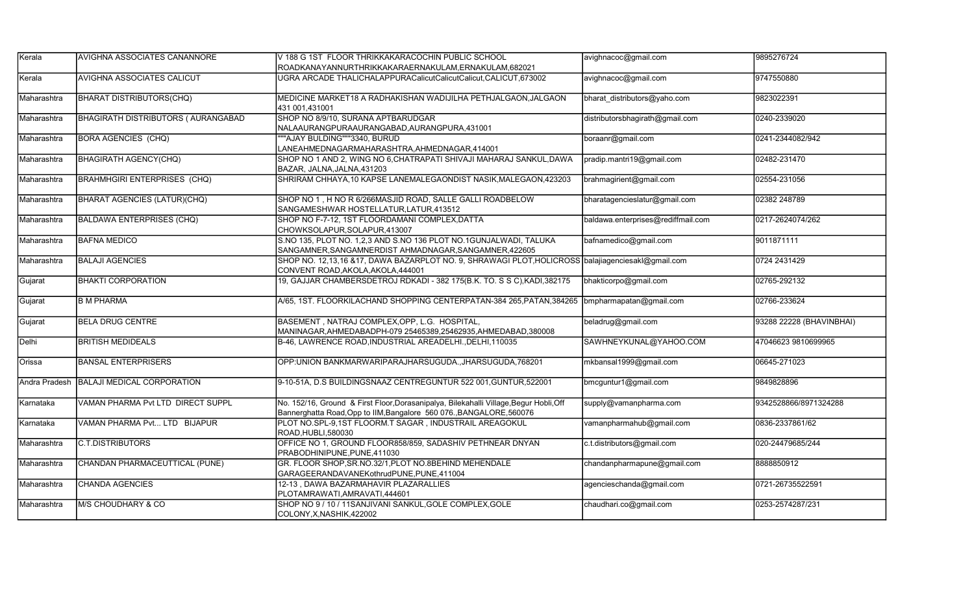| Kerala        | <b>IAVIGHNA ASSOCIATES CANANNORE</b>       | V 188 G 1ST FLOOR THRIKKAKARACOCHIN PUBLIC SCHOOL                                                                                                              | avighnacoc@gmail.com               | 9895276724               |
|---------------|--------------------------------------------|----------------------------------------------------------------------------------------------------------------------------------------------------------------|------------------------------------|--------------------------|
|               |                                            | ROADKANAYANNURTHRIKKAKARAERNAKULAM,ERNAKULAM,682021                                                                                                            |                                    |                          |
| Kerala        | <b>AVIGHNA ASSOCIATES CALICUT</b>          | UGRA ARCADE THALICHALAPPURACalicutCalicutCalicut,CALICUT,673002                                                                                                | avighnacoc@gmail.com               | 9747550880               |
| Maharashtra   | <b>BHARAT DISTRIBUTORS(CHQ)</b>            | MEDICINE MARKET18 A RADHAKISHAN WADIJILHA PETHJALGAON, JALGAON<br>431 001,431001                                                                               | bharat distributors@yaho.com       | 9823022391               |
| Maharashtra   | <b>BHAGIRATH DISTRIBUTORS ( AURANGABAD</b> | SHOP NO 8/9/10, SURANA APTBARUDGAR<br>NALAAURANGPURAAURANGABAD, AURANGPURA, 431001                                                                             | distributorsbhagirath@gmail.com    | 0240-2339020             |
| Maharashtra   | <b>BORA AGENCIES (CHQ)</b>                 | ""AJAY BULDING"""3340, BURUD<br>LANEAHMEDNAGARMAHARASHTRA,AHMEDNAGAR,414001                                                                                    | boraanr@gmail.com                  | 0241-2344082/942         |
| Maharashtra   | <b>BHAGIRATH AGENCY(CHQ)</b>               | SHOP NO 1 AND 2, WING NO 6, CHATRAPATI SHIVAJI MAHARAJ SANKUL, DAWA<br>BAZAR, JALNA, JALNA, 431203                                                             | pradip.mantri19@gmail.com          | 02482-231470             |
| Maharashtra   | <b>BRAHMHGIRI ENTERPRISES (CHQ)</b>        | SHRIRAM CHHAYA, 10 KAPSE LANEMALEGAONDIST NASIK, MALEGAON, 423203                                                                                              | brahmagirient@gmail.com            | 02554-231056             |
| Maharashtra   | BHARAT AGENCIES (LATUR)(CHQ)               | SHOP NO 1, H NO R 6/266MASJID ROAD, SALLE GALLI ROADBELOW<br>SANGAMESHWAR HOSTELLATUR, LATUR, 413512                                                           | bharatagencieslatur@gmail.com      | 02382 248789             |
| Maharashtra   | <b>BALDAWA ENTERPRISES (CHQ)</b>           | SHOP NO F-7-12, 1ST FLOORDAMANI COMPLEX, DATTA<br>CHOWKSOLAPUR, SOLAPUR, 413007                                                                                | baldawa.enterprises@rediffmail.com | 0217-2624074/262         |
| Maharashtra   | <b>BAFNA MEDICO</b>                        | S.NO 135, PLOT NO. 1,2,3 AND S.NO 136 PLOT NO.1GUNJALWADI, TALUKA<br>SANGAMNER, SANGAMNERDIST AHMADNAGAR, SANGAMNER, 422605                                    | bafnamedico@gmail.com              | 9011871111               |
| Maharashtra   | <b>BALAJI AGENCIES</b>                     | SHOP NO. 12,13,16 &17, DAWA BAZARPLOT NO. 9, SHRAWAGI PLOT, HOLICROSS balajiagenciesakl@gmail.com<br>CONVENT ROAD, AKOLA, AKOLA, 444001                        |                                    | 0724 2431429             |
| Gujarat       | <b>BHAKTI CORPORATION</b>                  | 19, GAJJAR CHAMBERSDETROJ RDKADI - 382 175(B.K. TO. S S C), KADI, 382175                                                                                       | bhakticorpo@gmail.com              | 02765-292132             |
| Gujarat       | <b>B M PHARMA</b>                          | A/65, 1ST. FLOORKILACHAND SHOPPING CENTERPATAN-384 265, PATAN, 384265                                                                                          | bmpharmapatan@gmail.com            | 02766-233624             |
| Gujarat       | <b>BELA DRUG CENTRE</b>                    | BASEMENT, NATRAJ COMPLEX, OPP, L.G. HOSPITAL,<br>MANINAGAR, AHMEDABADPH-079 25465389, 25462935, AHMEDABAD, 380008                                              | beladrug@gmail.com                 | 93288 22228 (BHAVINBHAI) |
| Delhi         | <b>BRITISH MEDIDEALS</b>                   | B-46, LAWRENCE ROAD, INDUSTRIAL AREADELHI., DELHI, 110035                                                                                                      | SAWHNEYKUNAL@YAHOO.COM             | 47046623 9810699965      |
| Orissa        | <b>BANSAL ENTERPRISERS</b>                 | OPP: UNION BANKMARWARIPARAJHARSUGUDA., JHARSUGUDA, 768201                                                                                                      | mkbansal1999@gmail.com             | 06645-271023             |
| Andra Pradesh | <b>BALAJI MEDICAL CORPORATION</b>          | 9-10-51A, D.S BUILDINGSNAAZ CENTREGUNTUR 522 001, GUNTUR, 522001                                                                                               | bmcguntur1@gmail.com               | 9849828896               |
| Karnataka     | VAMAN PHARMA Pvt LTD DIRECT SUPPL          | No. 152/16, Ground & First Floor, Dorasanipalya, Bilekahalli Village, Begur Hobli, Off<br>Bannerghatta Road, Opp to IIM, Bangalore 560 076., BANGALORE, 560076 | supply@vamanpharma.com             | 9342528866/8971324288    |
| Karnataka     | VAMAN PHARMA Pvt LTD BIJAPUR               | PLOT NO.SPL-9,1ST FLOORM.T SAGAR, INDUSTRAIL AREAGOKUL<br>ROAD, HUBLI, 580030                                                                                  | vamanpharmahub@gmail.com           | 0836-2337861/62          |
| Maharashtra   | <b>C.T.DISTRIBUTORS</b>                    | OFFICE NO 1, GROUND FLOOR858/859, SADASHIV PETHNEAR DNYAN<br>PRABODHINIPUNE,PUNE,411030                                                                        | c.t.distributors@gmail.com         | 020-24479685/244         |
| Maharashtra   | CHANDAN PHARMACEUTTICAL (PUNE)             | GR. FLOOR SHOP, SR.NO.32/1, PLOT NO.8BEHIND MEHENDALE<br>GARAGEERANDAVANEKothrudPUNE, PUNE, 411004                                                             | chandanpharmapune@gmail.com        | 8888850912               |
| Maharashtra   | <b>CHANDA AGENCIES</b>                     | 12-13, DAWA BAZARMAHAVIR PLAZARALLIES<br>PLOTAMRAWATI, AMRAVATI, 444601                                                                                        | agencieschanda@gmail.com           | 0721-26735522591         |
| Maharashtra   | M/S CHOUDHARY & CO                         | SHOP NO 9 / 10 / 11SANJIVANI SANKUL, GOLE COMPLEX, GOLE<br>COLONY, X, NASHIK, 422002                                                                           | chaudhari.co@gmail.com             | 0253-2574287/231         |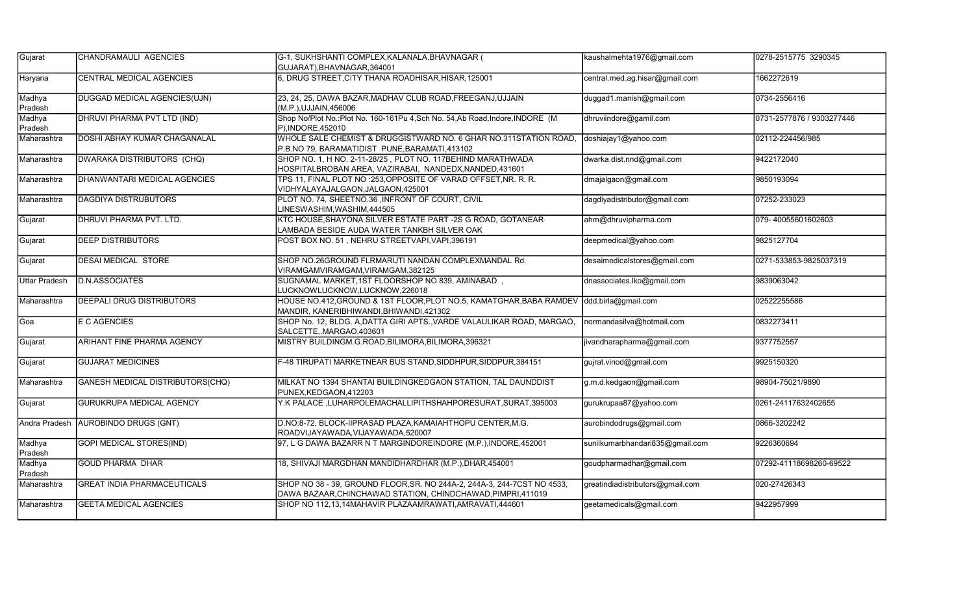| Gujarat              | CHANDRAMAULI AGENCIES               | G-1, SUKHSHANTI COMPLEX, KALANALA. BHAVNAGAR (<br>GUJARAT), BHAVNAGAR, 364001                                                           | kaushalmehta1976@gmail.com       | 0278-2515775 3290345      |
|----------------------|-------------------------------------|-----------------------------------------------------------------------------------------------------------------------------------------|----------------------------------|---------------------------|
| Haryana              | CENTRAL MEDICAL AGENCIES            | 6, DRUG STREET, CITY THANA ROADHISAR, HISAR, 125001                                                                                     | central.med.ag.hisar@gmail.com   | 1662272619                |
| Madhya<br>Pradesh    | DUGGAD MEDICAL AGENCIES(UJN)        | 23, 24, 25, DAWA BAZAR, MADHAV CLUB ROAD, FREEGANJ, UJJAIN<br>(M.P.), UJJAIN, 456006                                                    | duggad1.manish@gmail.com         | 0734-2556416              |
| Madhya<br>Pradesh    | DHRUVI PHARMA PVT LTD (IND)         | Shop No/Plot No.:Plot No. 160-161Pu 4,Sch No. 54,Ab Road,Indore,INDORE (M<br>P), INDORE, 452010                                         | dhruviindore@gamil.com           | 0731-2577876 / 9303277446 |
| Maharashtra          | <b>DOSHI ABHAY KUMAR CHAGANALAL</b> | WHOLE SALE CHEMIST & DRUGGISTWARD NO. 6 GHAR NO.311STATION ROAD.<br>P.B.NO 79, BARAMATIDIST PUNE, BARAMATI, 413102                      | doshiajay1@yahoo.com             | 02112-224456/985          |
| Maharashtra          | <b>DWARAKA DISTRIBUTORS (CHQ)</b>   | SHOP NO. 1, H NO. 2-11-28/25, PLOT NO. 117BEHIND MARATHWADA<br>HOSPITALBROBAN AREA, VAZIRABAI, NANDEDX, NANDED, 431601                  | dwarka.dist.nnd@gmail.com        | 9422172040                |
| Maharashtra          | <b>DHANWANTARI MEDICAL AGENCIES</b> | TPS 11, FINAL PLOT NO :253, OPPOSITE OF VARAD OFFSET, NR. R. R.<br>VIDHYALAYAJALGAON, JALGAON, 425001                                   | dmajalgaon@gmail.com             | 9850193094                |
| Maharashtra          | <b>DAGDIYA DISTRUBUTORS</b>         | PLOT NO. 74, SHEETNO.36, INFRONT OF COURT, CIVIL<br>INESWASHIM,WASHIM,444505                                                            | dagdiyadistributor@gmail.com     | 07252-233023              |
| Gujarat              | DHRUVI PHARMA PVT. LTD.             | KTC HOUSE, SHAYONA SILVER ESTATE PART -2S G ROAD, GOTANEAR<br>LAMBADA BESIDE AUDA WATER TANKBH SILVER OAK                               | ahm@dhruvipharma.com             | 079-40055601602603        |
| Gujarat              | <b>DEEP DISTRIBUTORS</b>            | POST BOX NO. 51, NEHRU STREETVAPI, VAPI, 396191                                                                                         | deepmedical@yahoo.com            | 9825127704                |
| Gujarat              | <b>DESAI MEDICAL STORE</b>          | SHOP NO.26GROUND FLRMARUTI NANDAN COMPLEXMANDAL Rd.<br>VIRAMGAMVIRAMGAM, VIRAMGAM, 382125                                               | desaimedicalstores@gmail.com     | 0271-533853-9825037319    |
| Uttar Pradesh        | <b>D.N.ASSOCIATES</b>               | SUGNAMAL MARKET, 1ST FLOORSHOP NO.839, AMINABAD,<br>LUCKNOWLUCKNOW,LUCKNOW,226018                                                       | dnassociates.lko@gmail.com       | 9839063042                |
| Maharashtra          | <b>IDEEPALI DRUG DISTRIBUTORS</b>   | HOUSE NO.412, GROUND & 1ST FLOOR, PLOT NO.5, KAMATGHAR, BABA RAMDEV<br>MANDIR, KANERIBHIWANDI, BHIWANDI, 421302                         | ddd.birla@gmail.com              | 02522255586               |
| Goa                  | E C AGENCIES                        | SHOP No. 12, BLDG. A, DATTA GIRI APTS., VARDE VALAULIKAR ROAD, MARGAO,<br>SALCETTE,,MARGAO,403601                                       | normandasilva@hotmail.com        | 0832273411                |
| Gujarat              | ARIHANT FINE PHARMA AGENCY          | MISTRY BUILDINGM.G.ROAD, BILIMORA, BILIMORA, 396321                                                                                     | ivandharapharma@gmail.com        | 9377752557                |
| Gujarat              | <b>GUJARAT MEDICINES</b>            | F-48 TIRUPATI MARKETNEAR BUS STAND, SIDDHPUR, SIDDPUR, 384151                                                                           | gujrat.vinod@gmail.com           | 9925150320                |
| Maharashtra          | GANESH MEDICAL DISTRIBUTORS(CHQ)    | MILKAT NO 1394 SHANTAI BUILDINGKEDGAON STATION, TAL DAUNDDIST<br>PUNEX.KEDGAON.412203                                                   | g.m.d.kedgaon@gmail.com          | 98904-75021/9890          |
| Gujarat              | <b>GURUKRUPA MEDICAL AGENCY</b>     | Y.K PALACE, LUHARPOLEMACHALLIPITHSHAHPORESURAT, SURAT, 395003                                                                           | gurukrupaa87@yahoo.com           | 0261-24117632402655       |
| <b>Andra Pradesh</b> | <b>AUROBINDO DRUGS (GNT)</b>        | D.NO:8-72, BLOCK-IIPRASAD PLAZA, KAMAIAHTHOPU CENTER, M.G.<br>ROADVIJAYAWADA, VIJAYAWADA, 520007                                        | aurobindodrugs@gmail.com         | 0866-3202242              |
| Madhya<br>Pradesh    | <b>GOPI MEDICAL STORES(IND)</b>     | 97, L G DAWA BAZARR N T MARGINDOREINDORE (M.P.), INDORE, 452001                                                                         | sunilkumarbhandari835@gmail.com  | 9226360694                |
| Madhya<br>Pradesh    | <b>GOUD PHARMA DHAR</b>             | 18, SHIVAJI MARGDHAN MANDIDHARDHAR (M.P.), DHAR, 454001                                                                                 | goudpharmadhar@gmail.com         | 07292-41118698260-69522   |
| Maharashtra          | <b>GREAT INDIA PHARMACEUTICALS</b>  | SHOP NO 38 - 39, GROUND FLOOR, SR. NO 244A-2, 244A-3, 244-7CST NO 4533,<br>DAWA BAZAAR, CHINCHAWAD STATION, CHINDCHAWAD, PIMPRI, 411019 | greatindiadistributors@gmail.com | 020-27426343              |
| Maharashtra          | <b>GEETA MEDICAL AGENCIES</b>       | SHOP NO 112,13,14MAHAVIR PLAZAAMRAWATI,AMRAVATI,444601                                                                                  | geetamedicals@gmail.com          | 9422957999                |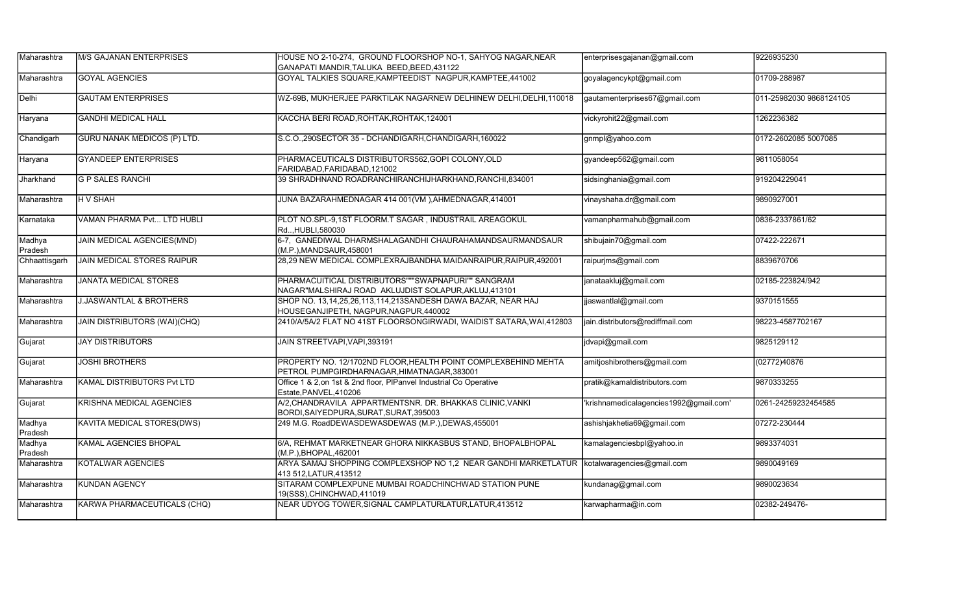| Maharashtra       | <b>IM/S GAJANAN ENTERPRISES</b>     | HOUSE NO 2-10-274, GROUND FLOORSHOP NO-1, SAHYOG NAGAR, NEAR<br>GANAPATI MANDIR, TALUKA BEED, BEED, 431122    | enterprisesgajanan@gmail.com           | 9226935230              |
|-------------------|-------------------------------------|---------------------------------------------------------------------------------------------------------------|----------------------------------------|-------------------------|
| Maharashtra       | <b>GOYAL AGENCIES</b>               | GOYAL TALKIES SQUARE, KAMPTEEDIST NAGPUR, KAMPTEE, 441002                                                     | goyalagencykpt@gmail.com               | 01709-288987            |
| Delhi             | <b>GAUTAM ENTERPRISES</b>           | WZ-69B, MUKHERJEE PARKTILAK NAGARNEW DELHINEW DELHI, DELHI, 110018                                            | gautamenterprises67@gmail.com          | 011-25982030 9868124105 |
| Haryana           | <b>GANDHI MEDICAL HALL</b>          | KACCHA BERI ROAD, ROHTAK, ROHTAK, 124001                                                                      | vickyrohit22@gmail.com                 | 1262236382              |
| Chandigarh        | <b>GURU NANAK MEDICOS (P) LTD.</b>  | S.C.O., 290SECTOR 35 - DCHANDIGARH, CHANDIGARH, 160022                                                        | gnmpl@yahoo.com                        | 0172-2602085 5007085    |
| Haryana           | <b>GYANDEEP ENTERPRISES</b>         | PHARMACEUTICALS DISTRIBUTORS562, GOPI COLONY, OLD<br>FARIDABAD.FARIDABAD.121002                               | gyandeep562@gmail.com                  | 9811058054              |
| Jharkhand         | <b>G P SALES RANCHI</b>             | 39 SHRADHNAND ROADRANCHIRANCHIJHARKHAND, RANCHI, 834001                                                       | sidsinghania@gmail.com                 | 919204229041            |
| Maharashtra       | <b>HV SHAH</b>                      | JUNA BAZARAHMEDNAGAR 414 001(VM), AHMEDNAGAR, 414001                                                          | vinayshaha.dr@gmail.com                | 9890927001              |
| Karnataka         | VAMAN PHARMA Pvt LTD HUBLI          | PLOT NO.SPL-9,1ST FLOORM.T SAGAR, INDUSTRAIL AREAGOKUL<br>RdHUBLI.580030                                      | vamanpharmahub@gmail.com               | 0836-2337861/62         |
| Madhya<br>Pradesh | JAIN MEDICAL AGENCIES(MND)          | 6-7, GANEDIWAL DHARMSHALAGANDHI CHAURAHAMANDSAURMANDSAUR<br>(M.P.), MANDSAUR, 458001                          | shibujain70@gmail.com                  | 07422-222671            |
| Chhaattisgarh     | JAIN MEDICAL STORES RAIPUR          | 28,29 NEW MEDICAL COMPLEXRAJBANDHA MAIDANRAIPUR, RAIPUR, 492001                                               | raipurjms@gmail.com                    | 8839670706              |
| Maharashtra       | <b>JANATA MEDICAL STORES</b>        | PHARMACUITICAL DISTRIBUTORS"""SWAPNAPURI"" SANGRAM<br>NAGAR"MALSHIRAJ ROAD AKLUJDIST SOLAPUR, AKLUJ, 413101   | janataakluj@gmail.com                  | 02185-223824/942        |
| Maharashtra       | <b>J.JASWANTLAL &amp; BROTHERS</b>  | SHOP NO. 13,14,25,26,113,114,213SANDESH DAWA BAZAR, NEAR HAJ<br>HOUSEGANJIPETH, NAGPUR, NAGPUR, 440002        | jjaswantlal@gmail.com                  | 9370151555              |
| Maharashtra       | <b>JAIN DISTRIBUTORS (WAI)(CHQ)</b> | 2410/A/5A/2 FLAT NO 41ST FLOORSONGIRWADI, WAIDIST SATARA, WAI, 412803                                         | jain.distributors@rediffmail.com       | 98223-4587702167        |
| Gujarat           | <b>JAY DISTRIBUTORS</b>             | JAIN STREETVAPI, VAPI, 393191                                                                                 | jdvapi@gmail.com                       | 9825129112              |
| Gujarat           | <b>JOSHI BROTHERS</b>               | PROPERTY NO. 12/1702ND FLOOR, HEALTH POINT COMPLEXBEHIND MEHTA<br>PETROL PUMPGIRDHARNAGAR, HIMATNAGAR, 383001 | amitjoshibrothers@gmail.com            | (02772)40876            |
| Maharashtra       | KAMAL DISTRIBUTORS Pvt LTD          | Office 1 & 2, on 1st & 2nd floor, PIPanvel Industrial Co Operative<br>Estate, PANVEL, 410206                  | pratik@kamaldistributors.com           | 9870333255              |
| Gujarat           | <b>KRISHNA MEDICAL AGENCIES</b>     | A/2, CHANDRAVILA APPARTMENTSNR. DR. BHAKKAS CLINIC, VANKI<br>BORDI, SAIYEDPURA, SURAT, SURAT, 395003          | 'krishnamedicalagencies1992@gmail.com' | 0261-24259232454585     |
| Madhya<br>Pradesh | KAVITA MEDICAL STORES(DWS)          | 249 M.G. RoadDEWASDEWASDEWAS (M.P.),DEWAS,455001                                                              | ashishjakhetia69@gmail.com             | 07272-230444            |
| Madhya<br>Pradesh | KAMAL AGENCIES BHOPAL               | 6/A, REHMAT MARKETNEAR GHORA NIKKASBUS STAND, BHOPALBHOPAL<br>(M.P.), BHOPAL, 462001                          | kamalagenciesbpl@yahoo.in              | 9893374031              |
| Maharashtra       | KOTALWAR AGENCIES                   | ARYA SAMAJ SHOPPING COMPLEXSHOP NO 1,2 NEAR GANDHI MARKETLATUR<br>413 512, LATUR, 413512                      | kotalwaragencies@gmail.com             | 9890049169              |
| Maharashtra       | <b>KUNDAN AGENCY</b>                | SITARAM COMPLEXPUNE MUMBAI ROADCHINCHWAD STATION PUNE<br>19(SSS),CHINCHWAD,411019                             | kundanag@gmail.com                     | 9890023634              |
| Maharashtra       | KARWA PHARMACEUTICALS (CHQ)         | NEAR UDYOG TOWER, SIGNAL CAMPLATURLATUR, LATUR, 413512                                                        | karwapharma@in.com                     | 02382-249476-           |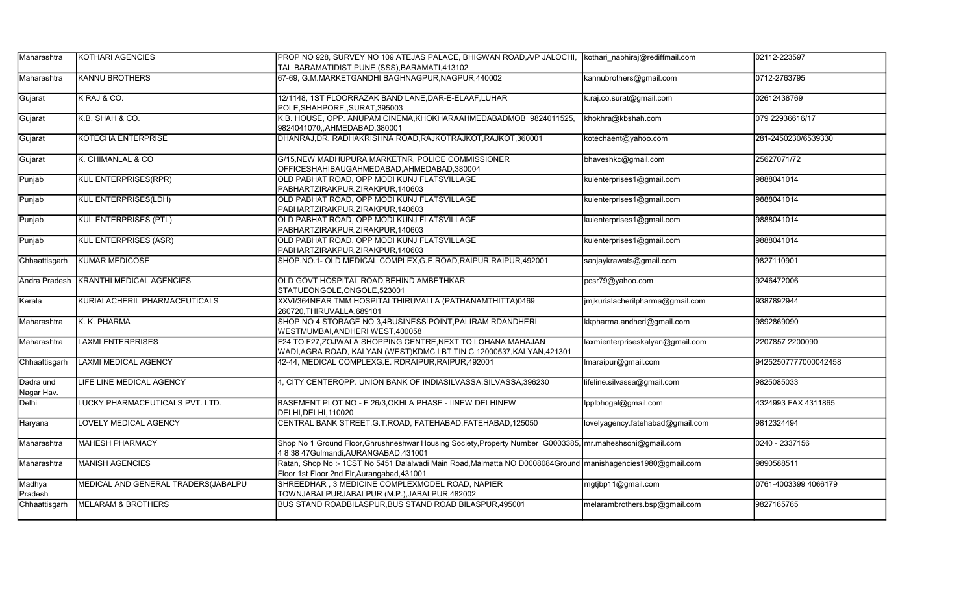| Maharashtra             | <b>IKOTHARI AGENCIES</b>            | PROP NO 928, SURVEY NO 109 ATEJAS PALACE, BHIGWAN ROAD, A/P JALOCHI, Kothari nabhiraj@rediffmail.com                                                         |                                  | 02112-223597         |
|-------------------------|-------------------------------------|--------------------------------------------------------------------------------------------------------------------------------------------------------------|----------------------------------|----------------------|
|                         |                                     | TAL BARAMATIDIST PUNE (SSS), BARAMATI, 413102                                                                                                                |                                  |                      |
| Maharashtra             | <b>KANNU BROTHERS</b>               | 67-69, G.M.MARKETGANDHI BAGHNAGPUR, NAGPUR, 440002                                                                                                           | kannubrothers@gmail.com          | 0712-2763795         |
| Gujarat                 | K RAJ & CO.                         | 12/1148, 1ST FLOORRAZAK BAND LANE, DAR-E-ELAAF, LUHAR<br>POLE, SHAHPORE, SURAT, 395003                                                                       | .raj.co.surat@gmail.com          | 02612438769          |
| Gujarat                 | K.B. SHAH & CO.                     | K.B. HOUSE, OPP. ANUPAM CINEMA, KHOKHARAAHMEDABADMOB 9824011525,<br>9824041070, AHMEDABAD, 380001                                                            | khokhra@kbshah.com               | 079 22936616/17      |
| Gujarat                 | <b>KOTECHA ENTERPRISE</b>           | DHANRAJ, DR. RADHAKRISHNA ROAD, RAJKOTRAJKOT, RAJKOT, 360001                                                                                                 | kotechaent@yahoo.com             | 281-2450230/6539330  |
| Gujarat                 | K. CHIMANLAL & CO                   | G/15, NEW MADHUPURA MARKETNR, POLICE COMMISSIONER<br>OFFICESHAHIBAUGAHMEDABAD.AHMEDABAD.380004                                                               | bhaveshkc@gmail.com              | 25627071/72          |
| Punjab                  | <b>KUL ENTERPRISES(RPR)</b>         | OLD PABHAT ROAD, OPP MODI KUNJ FLATSVILLAGE<br>PABHARTZIRAKPUR, ZIRAKPUR, 140603                                                                             | kulenterprises1@gmail.com        | 9888041014           |
| Punjab                  | KUL ENTERPRISES(LDH)                | OLD PABHAT ROAD, OPP MODI KUNJ FLATSVILLAGE<br>PABHARTZIRAKPUR, ZIRAKPUR, 140603                                                                             | kulenterprises1@gmail.com        | 9888041014           |
| Punjab                  | <b>KUL ENTERPRISES (PTL)</b>        | OLD PABHAT ROAD, OPP MODI KUNJ FLATSVILLAGE<br>PABHARTZIRAKPUR, ZIRAKPUR, 140603                                                                             | kulenterprises1@gmail.com        | 9888041014           |
| Punjab                  | <b>KUL ENTERPRISES (ASR)</b>        | OLD PABHAT ROAD, OPP MODI KUNJ FLATSVILLAGE<br>PABHARTZIRAKPUR, ZIRAKPUR, 140603                                                                             | kulenterprises1@gmail.com        | 9888041014           |
| Chhaattisgarh           | <b>KUMAR MEDICOSE</b>               | SHOP.NO.1- OLD MEDICAL COMPLEX, G.E.ROAD, RAIPUR, RAIPUR, 492001                                                                                             | sanjaykrawats@gmail.com          | 9827110901           |
| Andra Pradesh           | <b>KRANTHI MEDICAL AGENCIES</b>     | OLD GOVT HOSPITAL ROAD, BEHIND AMBETHKAR<br>STATUEONGOLE, ONGOLE, 523001                                                                                     | pcsr79@yahoo.com                 | 9246472006           |
| Kerala                  | KURIALACHERIL PHARMACEUTICALS       | XXVI/364NEAR TMM HOSPITALTHIRUVALLA (PATHANAMTHITTA)0469<br>260720, THIRUVALLA, 689101                                                                       | jmjkurialacherilpharma@gmail.com | 9387892944           |
| Maharashtra             | K. K. PHARMA                        | SHOP NO 4 STORAGE NO 3,4BUSINESS POINT, PALIRAM RDANDHERI<br>WESTMUMBAI, ANDHERI WEST, 400058                                                                | kkpharma.andheri@gmail.com       | 9892869090           |
| Maharashtra             | <b>LAXMI ENTERPRISES</b>            | F24 TO F27, ZOJWALA SHOPPING CENTRE, NEXT TO LOHANA MAHAJAN<br>WADI, AGRA ROAD, KALYAN (WEST) KDMC LBT TIN C 12000537, KALYAN, 421301                        | laxmienterpriseskalyan@gmail.com | 2207857 2200090      |
| Chhaattisgarh           | <b>LAXMI MEDICAL AGENCY</b>         | 42-44, MEDICAL COMPLEXG.E. RDRAIPUR, RAIPUR, 492001                                                                                                          | Imaraipur@gmail.com              | 94252507777000042458 |
| Dadra und<br>Nagar Hav. | LIFE LINE MEDICAL AGENCY            | 4, CITY CENTEROPP. UNION BANK OF INDIASILVASSA, SILVASSA, 396230                                                                                             | lifeline.silvassa@gmail.com      | 9825085033           |
| Delhi                   | LUCKY PHARMACEUTICALS PVT. LTD.     | BASEMENT PLOT NO - F 26/3, OKHLA PHASE - IINEW DELHINEW<br>DELHI, DELHI, 110020                                                                              | lpplbhogal@gmail.com             | 4324993 FAX 4311865  |
| Haryana                 | <b>LOVELY MEDICAL AGENCY</b>        | CENTRAL BANK STREET, G.T.ROAD, FATEHABAD, FATEHABAD, 125050                                                                                                  | lovelyagency.fatehabad@gmail.com | 9812324494           |
| Maharashtra             | <b>MAHESH PHARMACY</b>              | Shop No 1 Ground Floor, Ghrushneshwar Housing Society, Property Number G0003385, mr. maheshsoni@gmail.com<br>4 8 38 47Gulmandi, AURANGABAD, 431001           |                                  | 0240 - 2337156       |
| Maharashtra             | <b>MANISH AGENCIES</b>              | Ratan, Shop No :- 1CST No 5451 Dalalwadi Main Road, Malmatta NO D0008084Ground   manishagencies1980@gmail.com<br>Floor 1st Floor 2nd Flr, Aurangabad, 431001 |                                  | 9890588511           |
| Madhya<br>Pradesh       | MEDICAL AND GENERAL TRADERS(JABALPU | SHREEDHAR, 3 MEDICINE COMPLEXMODEL ROAD, NAPIER<br>TOWNJABALPURJABALPUR (M.P.), JABALPUR, 482002                                                             | mgtjbp11@gmail.com               | 0761-4003399 4066179 |
| Chhaattisgarh           | <b>MELARAM &amp; BROTHERS</b>       | BUS STAND ROADBILASPUR, BUS STAND ROAD BILASPUR, 495001                                                                                                      | melarambrothers.bsp@gmail.com    | 9827165765           |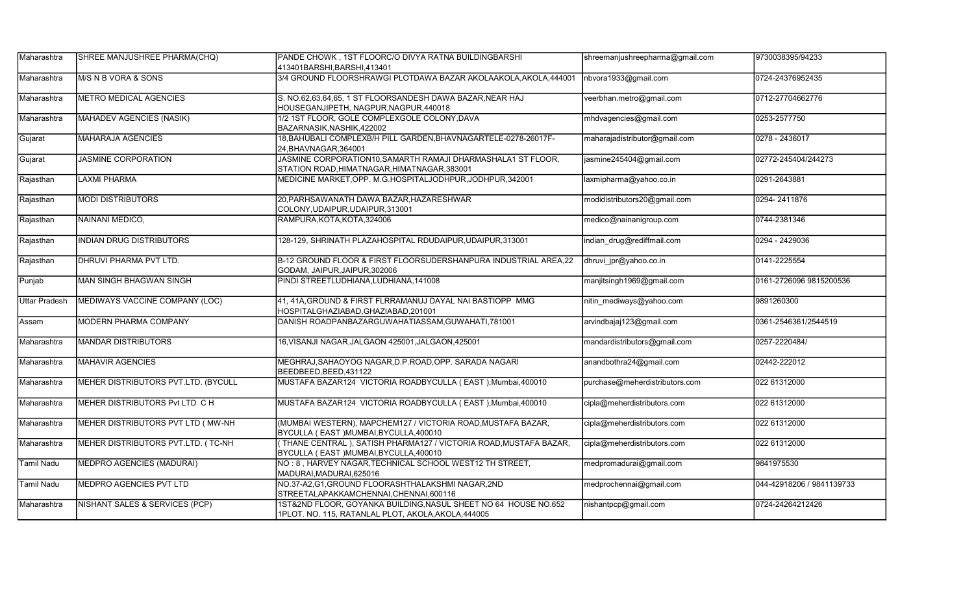| Maharashtra          | SHREE MANJUSHREE PHARMA(CHQ)        | PANDE CHOWK, 1ST FLOORC/O DIVYA RATNA BUILDINGBARSHI<br>413401BARSHI, BARSHI, 413401                                  | shreemanjushreepharma@gmail.com | 9730038395/94233          |
|----------------------|-------------------------------------|-----------------------------------------------------------------------------------------------------------------------|---------------------------------|---------------------------|
| Maharashtra          | M/S N B VORA & SONS                 | 3/4 GROUND FLOORSHRAWGI PLOTDAWA BAZAR AKOLAAKOLA, AKOLA, 444001                                                      | nbvora1933@gmail.com            | 0724-24376952435          |
| Maharashtra          | <b>METRO MEDICAL AGENCIES</b>       | S. NO.62,63,64,65, 1 ST FLOORSANDESH DAWA BAZAR, NEAR HAJ<br>HOUSEGANJIPETH, NAGPUR, NAGPUR, 440018                   | veerbhan.metro@gmail.com        | 0712-27704662776          |
| Maharashtra          | MAHADEV AGENCIES (NASIK)            | 1/2 1ST FLOOR, GOLE COMPLEXGOLE COLONY, DAVA<br>BAZARNASIK, NASHIK, 422002                                            | mhdvagencies@gmail.com          | 0253-2577750              |
| Gujarat              | <b>MAHARAJA AGENCIES</b>            | 18, BAHUBALI COMPLEXB/H PILL GARDEN, BHAVNAGARTELE-0278-26017F-<br>24. BHAVNAGAR. 364001                              | maharajadistributor@gmail.com   | 0278 - 2436017            |
| Gujarat              | <b>JASMINE CORPORATION</b>          | JASMINE CORPORATION10, SAMARTH RAMAJI DHARMASHALA1 ST FLOOR,<br>STATION ROAD, HIMATNAGAR, HIMATNAGAR, 383001          | jasmine245404@gmail.com         | 02772-245404/244273       |
| Rajasthan            | <b>LAXMI PHARMA</b>                 | MEDICINE MARKET, OPP. M.G.HOSPITALJODHPUR, JODHPUR, 342001                                                            | laxmipharma@yahoo.co.in         | 0291-2643881              |
| Rajasthan            | <b>MODI DISTRIBUTORS</b>            | 20, PARHSAWANATH DAWA BAZAR, HAZARESHWAR<br>COLONY, UDAIPUR, UDAIPUR, 313001                                          | modidistributors20@gmail.com    | 0294-2411876              |
| Rajasthan            | NAINANI MEDICO,                     | RAMPURA, KOTA, KOTA, 324006                                                                                           | medico@nainanigroup.com         | 0744-2381346              |
| Rajasthan            | <b>INDIAN DRUG DISTRIBUTORS</b>     | 128-129, SHRINATH PLAZAHOSPITAL RDUDAIPUR,UDAIPUR,313001                                                              | indian_drug@rediffmail.com      | 0294 - 2429036            |
| Rajasthan            | <b>DHRUVI PHARMA PVT LTD.</b>       | B-12 GROUND FLOOR & FIRST FLOORSUDERSHANPURA INDUSTRIAL AREA,22<br>GODAM, JAIPUR, JAIPUR, 302006                      | dhruvi_jpr@yahoo.co.in          | 0141-2225554              |
| Punjab               | MAN SINGH BHAGWAN SINGH             | PINDI STREETLUDHIANA, LUDHIANA, 141008                                                                                | manjitsingh1969@gmail.com       | 0161-2726096 9815200536   |
| <b>Uttar Pradesh</b> | MEDIWAYS VACCINE COMPANY (LOC)      | 41, 41A, GROUND & FIRST FLRRAMANUJ DAYAL NAI BASTIOPP MMG<br>HOSPITALGHAZIABAD, GHAZIABAD, 201001                     | nitin_mediways@yahoo.com        | 9891260300                |
| Assam                | <b>MODERN PHARMA COMPANY</b>        | DANISH ROADPANBAZARGUWAHATIASSAM, GUWAHATI, 781001                                                                    | arvindbajaj123@gmail.com        | 0361-2546361/2544519      |
| Maharashtra          | <b>MANDAR DISTRIBUTORS</b>          | 16, VISANJI NAGAR, JALGAON 425001, JALGAON, 425001                                                                    | mandardistributors@gmail.com    | 0257-2220484/             |
| Maharashtra          | <b>MAHAVIR AGENCIES</b>             | MEGHRAJ, SAHAOYOG NAGAR, D.P. ROAD, OPP. SARADA NAGARI<br>BEEDBEED, BEED, 431122                                      | anandbothra24@gmail.com         | 02442-222012              |
| Maharashtra          | MEHER DISTRIBUTORS PVT.LTD. (BYCULL | MUSTAFA BAZAR124 VICTORIA ROADBYCULLA (EAST), Mumbai, 400010                                                          | purchase@meherdistributors.com  | 022 61312000              |
| Maharashtra          | MEHER DISTRIBUTORS Pvt LTD CH       | MUSTAFA BAZAR124 VICTORIA ROADBYCULLA (EAST), Mumbai, 400010                                                          | cipla@meherdistributors.com     | 022 61312000              |
| Maharashtra          | MEHER DISTRIBUTORS PVT LTD ( MW-NH  | (MUMBAI WESTERN), MAPCHEM127 / VICTORIA ROAD, MUSTAFA BAZAR,<br>BYCULLA (EAST) MUMBAI, BYCULLA, 400010                | cipla@meherdistributors.com     | 022 61312000              |
| Maharashtra          | MEHER DISTRIBUTORS PVT.LTD. (TC-NH  | THANE CENTRAL), SATISH PHARMA127 / VICTORIA ROAD, MUSTAFA BAZAR,<br>BYCULLA (EAST) MUMBAI, BYCULLA, 400010            | cipla@meherdistributors.com     | 022 61312000              |
| <b>Tamil Nadu</b>    | MEDPRO AGENCIES (MADURAI)           | NO: 8, HARVEY NAGAR, TECHNICAL SCHOOL WEST12 TH STREET,<br>MADURAI, MADURAI, 625016                                   | medpromadurai@gmail.com         | 9841975530                |
| <b>Tamil Nadu</b>    | <b>MEDPRO AGENCIES PVT LTD</b>      | NO.37-A2,G1,GROUND FLOORASHTHALAKSHMI NAGAR,2ND<br>STREETALAPAKKAMCHENNAI, CHENNAI, 600116                            | medprochennai@gmail.com         | 044-42918206 / 9841139733 |
| Maharashtra          | NISHANT SALES & SERVICES (PCP)      | 1ST&2ND FLOOR, GOYANKA BUILDING,NASUL SHEET NO 64 HOUSE NO.652<br>1PLOT. NO. 115, RATANLAL PLOT, AKOLA, AKOLA, 444005 | nishantpcp@gmail.com            | 0724-24264212426          |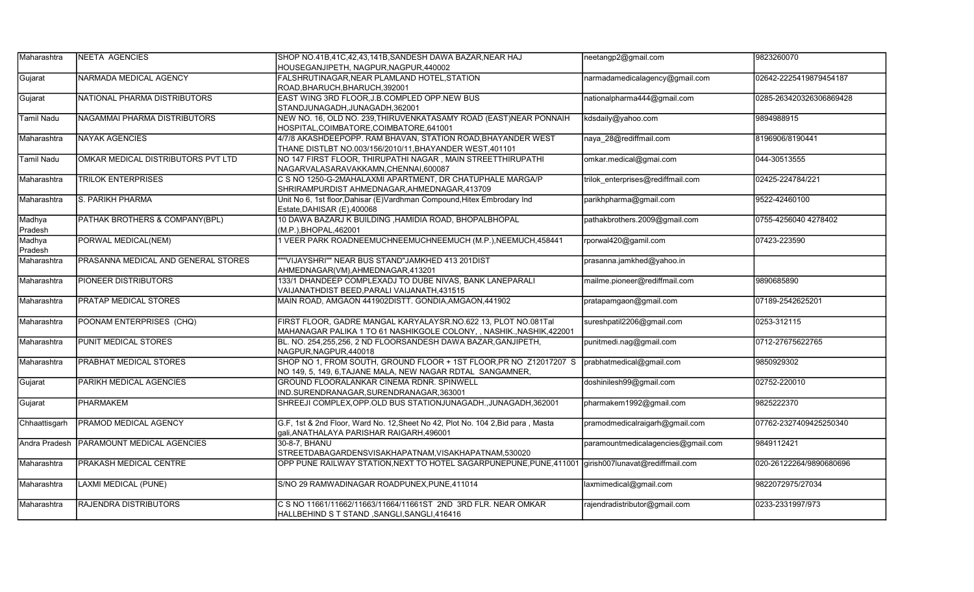| Maharashtra          | <b>NEETA AGENCIES</b>               | SHOP NO.41B,41C,42,43,141B,SANDESH DAWA BAZAR, NEAR HAJ                                             | neetangp2@gmail.com                | 9823260070              |
|----------------------|-------------------------------------|-----------------------------------------------------------------------------------------------------|------------------------------------|-------------------------|
|                      |                                     | HOUSEGANJIPETH, NAGPUR, NAGPUR, 440002                                                              |                                    |                         |
| Gujarat              | NARMADA MEDICAL AGENCY              | FALSHRUTINAGAR, NEAR PLAMLAND HOTEL, STATION                                                        | narmadamedicalagency@gmail.com     | 02642-2225419879454187  |
|                      |                                     | ROAD, BHARUCH, BHARUCH, 392001                                                                      |                                    |                         |
| Gujarat              | NATIONAL PHARMA DISTRIBUTORS        | EAST WING 3RD FLOOR, J.B.COMPLED OPP.NEW BUS                                                        | nationalpharma444@gmail.com        | 0285-263420326306869428 |
|                      |                                     | STANDJUNAGADH, JUNAGADH, 362001                                                                     |                                    |                         |
| <b>Tamil Nadu</b>    | NAGAMMAI PHARMA DISTRIBUTORS        | NEW NO. 16, OLD NO. 239, THIRUVENKATASAMY ROAD (EAST)NEAR PONNAIH                                   | kdsdaily@yahoo.com                 | 9894988915              |
|                      |                                     | HOSPITAL, COIMBATORE, COIMBATORE, 641001                                                            |                                    |                         |
| Maharashtra          | <b>NAYAK AGENCIES</b>               | 4/7/8 AKASHDEEPOPP. RAM BHAVAN, STATION ROAD, BHAYANDER WEST                                        | naya 28@rediffmail.com             | 8196906/8190441         |
|                      |                                     | THANE DISTLBT NO.003/156/2010/11, BHAYANDER WEST, 401101                                            |                                    |                         |
| <b>Tamil Nadu</b>    | OMKAR MEDICAL DISTRIBUTORS PVT LTD  | NO 147 FIRST FLOOR, THIRUPATHI NAGAR, MAIN STREETTHIRUPATHI                                         | omkar.medical@gmai.com             | 044-30513555            |
|                      |                                     | NAGARVALASARAVAKKAMN, CHENNAI, 600087                                                               |                                    |                         |
| Maharashtra          | <b>TRILOK ENTERPRISES</b>           | C S NO 1250-G-2MAHALAXMI APARTMENT, DR CHATUPHALE MARGA/P                                           | trilok enterprises@rediffmail.com  | 02425-224784/221        |
|                      |                                     | SHRIRAMPURDIST AHMEDNAGAR, AHMEDNAGAR, 413709                                                       |                                    |                         |
| Maharashtra          | S. PARIKH PHARMA                    | Unit No 6, 1st floor, Dahisar (E) Vardhman Compound, Hitex Embrodary Ind                            | parikhpharma@gmail.com             | 9522-42460100           |
|                      |                                     | Estate, DAHISAR (E), 400068                                                                         |                                    |                         |
| Madhya               | PATHAK BROTHERS & COMPANY(BPL)      | 10 DAWA BAZARJ K BUILDING , HAMIDIA ROAD, BHOPALBHOPAL                                              | pathakbrothers.2009@gmail.com      | 0755-4256040 4278402    |
| Pradesh              |                                     | (M.P.), BHOPAL, 462001                                                                              |                                    |                         |
| Madhya               | PORWAL MEDICAL(NEM)                 | 1 VEER PARK ROADNEEMUCHNEEMUCHNEEMUCH (M.P.), NEEMUCH, 458441                                       | rporwal420@gamil.com               | 07423-223590            |
| Pradesh              |                                     |                                                                                                     |                                    |                         |
| Maharashtra          | PRASANNA MEDICAL AND GENERAL STORES | "VIJAYSHRI"" NEAR BUS STAND"JAMKHED 413 201DIST                                                     | prasanna.jamkhed@yahoo.in          |                         |
|                      |                                     | AHMEDNAGAR(VM),AHMEDNAGAR,413201                                                                    |                                    |                         |
| Maharashtra          | <b>PIONEER DISTRIBUTORS</b>         | 133/1 DHANDEEP COMPLEXADJ TO DUBE NIVAS, BANK LANEPARALI                                            | mailme.pioneer@rediffmail.com      | 9890685890              |
|                      |                                     | VAIJANATHDIST BEED,PARALI VAIJANATH,431515                                                          |                                    |                         |
| Maharashtra          | <b>PRATAP MEDICAL STORES</b>        | MAIN ROAD, AMGAON 441902DISTT. GONDIA, AMGAON, 441902                                               | pratapamgaon@gmail.com             | 07189-2542625201        |
|                      |                                     |                                                                                                     |                                    |                         |
| Maharashtra          | POONAM ENTERPRISES (CHQ)            | FIRST FLOOR, GADRE MANGAL KARYALAYSR.NO.622 13, PLOT NO.081Tal                                      | sureshpatil2206@gmail.com          | 0253-312115             |
|                      |                                     | MAHANAGAR PALIKA 1 TO 61 NASHIKGOLE COLONY, , NASHIK., NASHIK, 422001                               |                                    |                         |
| Maharashtra          | <b>PUNIT MEDICAL STORES</b>         | BL. NO. 254,255,256, 2 ND FLOORSANDESH DAWA BAZAR, GANJIPETH,                                       | punitmedi.nag@gmail.com            | 0712-27675622765        |
|                      |                                     | NAGPUR, NAGPUR, 440018                                                                              |                                    |                         |
| Maharashtra          | <b>PRABHAT MEDICAL STORES</b>       | SHOP NO 1, FROM SOUTH, GROUND FLOOR + 1ST FLOOR, PR NO Z12017207 S                                  | prabhatmedical@gmail.com           | 9850929302              |
|                      |                                     | NO 149, 5, 149, 6, TAJANE MALA, NEW NAGAR RDTAL SANGAMNER,                                          |                                    |                         |
| Gujarat              | PARIKH MEDICAL AGENCIES             | GROUND FLOORALANKAR CINEMA RDNR. SPINWELL                                                           | doshinilesh99@gmail.com            | 02752-220010            |
|                      |                                     | IND.SURENDRANAGAR, SURENDRANAGAR, 363001                                                            |                                    |                         |
| Gujarat              | <b>PHARMAKEM</b>                    | SHREEJI COMPLEX, OPP. OLD BUS STATIONJUNAGADH., JUNAGADH, 362001                                    | pharmakem1992@gmail.com            | 9825222370              |
|                      |                                     |                                                                                                     |                                    |                         |
| Chhaattisgarh        | PRAMOD MEDICAL AGENCY               | G.F, 1st & 2nd Floor, Ward No. 12, Sheet No 42, Plot No. 104 2, Bid para, Masta                     | pramodmedicalraigarh@gmail.com     | 07762-2327409425250340  |
|                      |                                     | gali, ANATHALAYA PARISHAR RAIGARH, 496001                                                           |                                    |                         |
| <b>Andra Pradesh</b> | <b>PARAMOUNT MEDICAL AGENCIES</b>   | 30-8-7, BHANU                                                                                       | paramountmedicalagencies@gmail.com | 9849112421              |
|                      |                                     | STREETDABAGARDENSVISAKHAPATNAM, VISAKHAPATNAM, 530020                                               |                                    |                         |
| Maharashtra          | <b>PRAKASH MEDICAL CENTRE</b>       | OPP PUNE RAILWAY STATION, NEXT TO HOTEL SAGARPUNEPUNE, PUNE, 411001 girish007lunavat@rediffmail.com |                                    | 020-26122264/9890680696 |
|                      |                                     |                                                                                                     |                                    |                         |
| Maharashtra          | <b>LAXMI MEDICAL (PUNE)</b>         | S/NO 29 RAMWADINAGAR ROADPUNEX, PUNE, 411014                                                        | laxmimedical@gmail.com             | 9822072975/27034        |
|                      |                                     |                                                                                                     |                                    |                         |
| Maharashtra          | <b>RAJENDRA DISTRIBUTORS</b>        | C S NO 11661/11662/11663/11664/11661ST 2ND 3RD FLR. NEAR OMKAR                                      | rajendradistributor@gmail.com      | 0233-2331997/973        |
|                      |                                     | HALLBEHIND S T STAND, SANGLI, SANGLI, 416416                                                        |                                    |                         |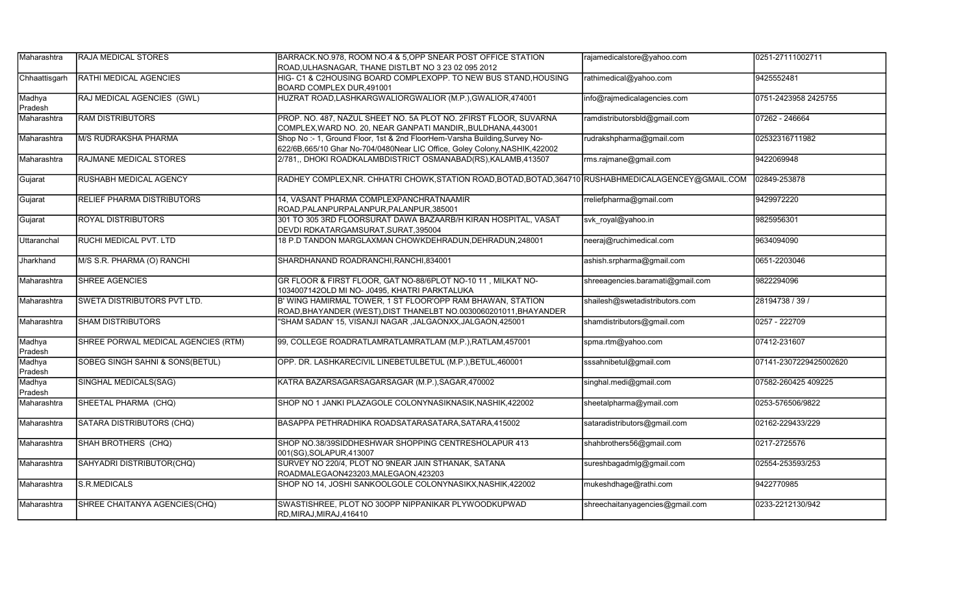| Maharashtra       | <b>RAJA MEDICAL STORES</b>          | BARRACK.NO.978, ROOM NO.4 & 5,OPP SNEAR POST OFFICE STATION                                                                                               | rajamedicalstore@yahoo.com       | 0251-27111002711       |
|-------------------|-------------------------------------|-----------------------------------------------------------------------------------------------------------------------------------------------------------|----------------------------------|------------------------|
|                   |                                     | ROAD, ULHASNAGAR, THANE DISTLBT NO 3 23 02 095 2012                                                                                                       |                                  |                        |
| Chhaattisgarh     | <b>RATHI MEDICAL AGENCIES</b>       | HIG- C1 & C2HOUSING BOARD COMPLEXOPP. TO NEW BUS STAND, HOUSING<br>BOARD COMPLEX DUR, 491001                                                              | rathimedical@yahoo.com           | 9425552481             |
| Madhya<br>Pradesh | RAJ MEDICAL AGENCIES (GWL)          | HUZRAT ROAD, LASHKARGWALIORGWALIOR (M.P.), GWALIOR, 474001                                                                                                | info@rajmedicalagencies.com      | 0751-2423958 2425755   |
| Maharashtra       | <b>RAM DISTRIBUTORS</b>             | PROP. NO. 487, NAZUL SHEET NO. 5A PLOT NO. 2FIRST FLOOR, SUVARNA<br>COMPLEX, WARD NO. 20, NEAR GANPATI MANDIR, BULDHANA, 443001                           | ramdistributorsbld@gmail.com     | 07262 - 246664         |
| Maharashtra       | M/S RUDRAKSHA PHARMA                | Shop No :- 1, Ground Floor, 1st & 2nd FloorHem-Varsha Building, Survey No-<br>622/6B,665/10 Ghar No-704/0480Near LIC Office, Goley Colony, NASHIK, 422002 | rudrakshpharma@gmail.com         | 02532316711982         |
| Maharashtra       | RAJMANE MEDICAL STORES              | 2/781,, DHOKI ROADKALAMBDISTRICT OSMANABAD(RS), KALAMB, 413507                                                                                            | rms.rajmane@gmail.com            | 9422069948             |
| Gujarat           | RUSHABH MEDICAL AGENCY              | RADHEY COMPLEX, NR. CHHATRI CHOWK, STATION ROAD, BOTAD, BOTAD, 364710 RUSHABHMEDICALAGENCEY@GMAIL.COM                                                     |                                  | 02849-253878           |
| Gujarat           | <b>RELIEF PHARMA DISTRIBUTORS</b>   | 14, VASANT PHARMA COMPLEXPANCHRATNAAMIR<br>ROAD, PALANPURPALANPUR, PALANPUR, 385001                                                                       | rreliefpharma@gmail.com          | 9429972220             |
| Gujarat           | <b>ROYAL DISTRIBUTORS</b>           | 301 TO 305 3RD FLOORSURAT DAWA BAZAARB/H KIRAN HOSPITAL, VASAT<br>DEVDI RDKATARGAMSURAT, SURAT, 395004                                                    | svk_royal@yahoo.in               | 9825956301             |
| Uttaranchal       | RUCHI MEDICAL PVT. LTD              | 18 P.D TANDON MARGLAXMAN CHOWKDEHRADUN, DEHRADUN, 248001                                                                                                  | neeraj@ruchimedical.com          | 9634094090             |
| Jharkhand         | M/S S.R. PHARMA (O) RANCHI          | SHARDHANAND ROADRANCHI, RANCHI, 834001                                                                                                                    | ashish.srpharma@gmail.com        | 0651-2203046           |
| Maharashtra       | <b>SHREE AGENCIES</b>               | GR FLOOR & FIRST FLOOR, GAT NO-88/6PLOT NO-10 11, MILKAT NO-<br>1034007142OLD MI NO- J0495, KHATRI PARKTALUKA                                             | shreeagencies.baramati@gmail.com | 9822294096             |
| Maharashtra       | <b>SWETA DISTRIBUTORS PVT LTD.</b>  | B' WING HAMIRMAL TOWER, 1 ST FLOOR'OPP RAM BHAWAN, STATION<br>ROAD, BHAYANDER (WEST), DIST THANELBT NO.0030060201011, BHAYANDER                           | shailesh@swetadistributors.com   | 28194738 / 39 /        |
| Maharashtra       | <b>SHAM DISTRIBUTORS</b>            | "SHAM SADAN' 15, VISANJI NAGAR ,JALGAONXX,JALGAON,425001                                                                                                  | shamdistributors@gmail.com       | 0257 - 222709          |
| Madhya<br>Pradesh | SHREE PORWAL MEDICAL AGENCIES (RTM) | 99, COLLEGE ROADRATLAMRATLAMRATLAM (M.P.), RATLAM, 457001                                                                                                 | spma.rtm@yahoo.com               | 07412-231607           |
| Madhya<br>Pradesh | SOBEG SINGH SAHNI & SONS(BETUL)     | OPP. DR. LASHKARECIVIL LINEBETULBETUL (M.P.), BETUL, 460001                                                                                               | sssahnibetul@gmail.com           | 07141-2307229425002620 |
| Madhya<br>Pradesh | SINGHAL MEDICALS(SAG)               | KATRA BAZARSAGARSAGARSAGAR (M.P.), SAGAR, 470002                                                                                                          | singhal.medi@gmail.com           | 07582-260425 409225    |
| Maharashtra       | SHEETAL PHARMA (CHQ)                | SHOP NO 1 JANKI PLAZAGOLE COLONYNASIKNASIK, NASHIK, 422002                                                                                                | sheetalpharma@ymail.com          | 0253-576506/9822       |
| Maharashtra       | SATARA DISTRIBUTORS (CHQ)           | BASAPPA PETHRADHIKA ROADSATARASATARA, SATARA, 415002                                                                                                      | sataradistributors@gmail.com     | 02162-229433/229       |
| Maharashtra       | SHAH BROTHERS (CHQ)                 | SHOP NO.38/39SIDDHESHWAR SHOPPING CENTRESHOLAPUR 413<br>001(SG), SOLAPUR, 413007                                                                          | shahbrothers56@gmail.com         | 0217-2725576           |
| Maharashtra       | SAHYADRI DISTRIBUTOR(CHQ)           | SURVEY NO 220/4, PLOT NO 9NEAR JAIN STHANAK, SATANA<br>ROADMALEGAON423203, MALEGAON, 423203                                                               | sureshbagadmlg@gmail.com         | 02554-253593/253       |
| Maharashtra       | S.R.MEDICALS                        | SHOP NO 14, JOSHI SANKOOLGOLE COLONYNASIKX, NASHIK, 422002                                                                                                | mukeshdhage@rathi.com            | 9422770985             |
| Maharashtra       | SHREE CHAITANYA AGENCIES(CHQ)       | SWASTISHREE, PLOT NO 30OPP NIPPANIKAR PLYWOODKUPWAD<br>RD, MIRAJ, MIRAJ, 416410                                                                           | shreechaitanyagencies@gmail.com  | 0233-2212130/942       |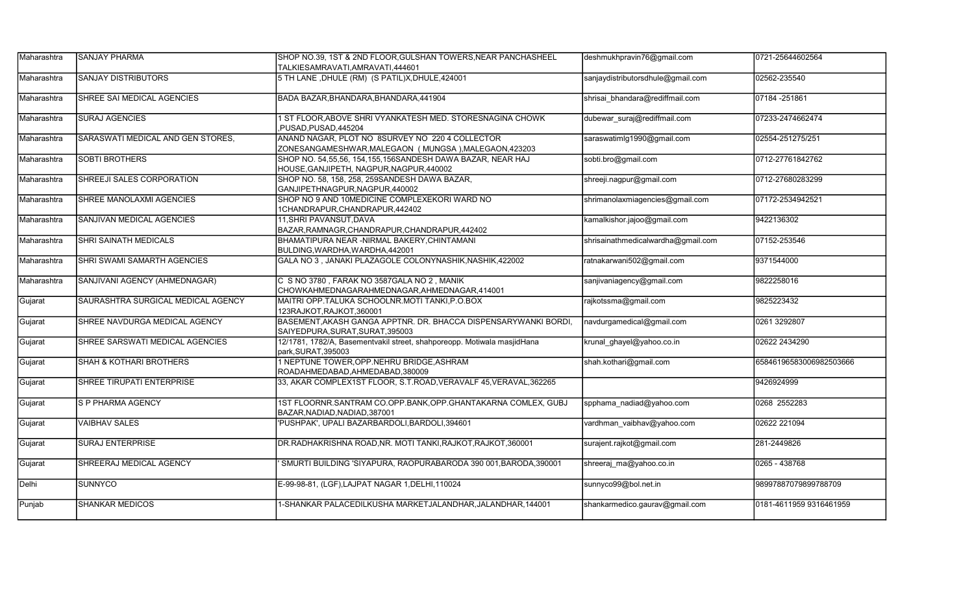| Maharashtra | ISANJAY PHARMA                     | SHOP NO.39, 1ST & 2ND FLOOR, GULSHAN TOWERS, NEAR PANCHASHEEL<br>TALKIESAMRAVATI, AMRAVATI, 444601       | deshmukhpravin76@gmail.com         | 0721-25644602564        |
|-------------|------------------------------------|----------------------------------------------------------------------------------------------------------|------------------------------------|-------------------------|
| Maharashtra | <b>SANJAY DISTRIBUTORS</b>         | 5 TH LANE, DHULE (RM) (S PATIL)X, DHULE, 424001                                                          | sanjaydistributorsdhule@gmail.com  | 02562-235540            |
| Maharashtra | SHREE SAI MEDICAL AGENCIES         | BADA BAZAR, BHANDARA, BHANDARA, 441904                                                                   | shrisai_bhandara@rediffmail.com    | 07184 - 251861          |
| Maharashtra | <b>SURAJ AGENCIES</b>              | I ST FLOOR, ABOVE SHRI VYANKATESH MED. STORESNAGINA CHOWK<br>PUSAD, PUSAD, 445204                        | dubewar_suraj@rediffmail.com       | 07233-2474662474        |
| Maharashtra | SARASWATI MEDICAL AND GEN STORES,  | ANAND NAGAR, PLOT NO 8SURVEY NO 220 4 COLLECTOR<br>ZONESANGAMESHWAR, MALEGAON (MUNGSA), MALEGAON, 423203 | saraswatimlg1990@gmail.com         | 02554-251275/251        |
| Maharashtra | <b>SOBTI BROTHERS</b>              | SHOP NO. 54,55,56, 154,155,156SANDESH DAWA BAZAR, NEAR HAJ<br>HOUSE, GANJIPETH, NAGPUR, NAGPUR, 440002   | sobti.bro@gmail.com                | 0712-27761842762        |
| Maharashtra | SHREEJI SALES CORPORATION          | SHOP NO. 58, 158, 258, 259SANDESH DAWA BAZAR,<br>GANJIPETHNAGPUR, NAGPUR, 440002                         | shreeji.nagpur@gmail.com           | 0712-27680283299        |
| Maharashtra | SHREE MANOLAXMI AGENCIES           | SHOP NO 9 AND 10MEDICINE COMPLEXEKORI WARD NO<br>1CHANDRAPUR,CHANDRAPUR,442402                           | shrimanolaxmiagencies@gmail.com    | 07172-2534942521        |
| Maharashtra | SANJIVAN MEDICAL AGENCIES          | 11, SHRI PAVANSUT, DAVA<br>BAZAR, RAMNAGR, CHANDRAPUR, CHANDRAPUR, 442402                                | kamalkishor.jajoo@gmail.com        | 9422136302              |
| Maharashtra | SHRI SAINATH MEDICALS              | BHAMATIPURA NEAR - NIRMAL BAKERY, CHINTAMANI<br>BULDING, WARDHA, WARDHA, 442001                          | shrisainathmedicalwardha@gmail.com | 07152-253546            |
| Maharashtra | SHRI SWAMI SAMARTH AGENCIES        | GALA NO 3, JANAKI PLAZAGOLE COLONYNASHIK, NASHIK, 422002                                                 | ratnakarwani502@gmail.com          | 9371544000              |
| Maharashtra | SANJIVANI AGENCY (AHMEDNAGAR)      | C S NO 3780, FARAK NO 3587GALA NO 2, MANIK<br>CHOWKAHMEDNAGARAHMEDNAGAR, AHMEDNAGAR, 414001              | sanjivaniagency@gmail.com          | 9822258016              |
| Gujarat     | SAURASHTRA SURGICAL MEDICAL AGENCY | MAITRI OPP.TALUKA SCHOOLNR.MOTI TANKI, P.O.BOX<br>123RAJKOT, RAJKOT, 360001                              | rajkotssma@gmail.com               | 9825223432              |
| Gujarat     | SHREE NAVDURGA MEDICAL AGENCY      | BASEMENT, AKASH GANGA APPTNR. DR. BHACCA DISPENSARYWANKI BORDI,<br>SAIYEDPURA, SURAT, SURAT, 395003      | navdurgamedical@gmail.com          | 0261 3292807            |
| Gujarat     | SHREE SARSWATI MEDICAL AGENCIES    | 12/1781, 1782/A, Basementvakil street, shahporeopp. Motiwala masjidHana<br>park, SURAT, 395003           | krunal ghayel@yahoo.co.in          | 02622 2434290           |
| Gujarat     | <b>SHAH &amp; KOTHARI BROTHERS</b> | 1 NEPTUNE TOWER, OPP. NEHRU BRIDGE, ASHRAM<br>ROADAHMEDABAD, AHMEDABAD, 380009                           | shah.kothari@gmail.com             | 65846196583006982503666 |
| Gujarat     | SHREE TIRUPATI ENTERPRISE          | 33, AKAR COMPLEX1ST FLOOR, S.T.ROAD, VERAVALF 45, VERAVAL, 362265                                        |                                    | 9426924999              |
| Gujarat     | S P PHARMA AGENCY                  | 1ST FLOORNR.SANTRAM CO.OPP.BANK, OPP.GHANTAKARNA COMLEX, GUBJ<br>BAZAR, NADIAD, NADIAD, 387001           | spphama nadiad@yahoo.com           | 0268 2552283            |
| Gujarat     | <b>VAIBHAV SALES</b>               | PUSHPAK', UPALI BAZARBARDOLI, BARDOLI, 394601                                                            | vardhman vaibhav@yahoo.com         | 02622 221094            |
| Gujarat     | <b>SURAJ ENTERPRISE</b>            | DR.RADHAKRISHNA ROAD, NR. MOTI TANKI, RAJKOT, RAJKOT, 360001                                             | surajent.rajkot@gmail.com          | 281-2449826             |
| Gujarat     | SHREERAJ MEDICAL AGENCY            | SMURTI BUILDING 'SIYAPURA, RAOPURABARODA 390 001, BARODA, 390001                                         | shreeraj ma@yahoo.co.in            | 0265 - 438768           |
| Delhi       | <b>SUNNYCO</b>                     | E-99-98-81, (LGF), LAJPAT NAGAR 1, DELHI, 110024                                                         | sunnyco99@bol.net.in               | 98997887079899788709    |
| Punjab      | <b>SHANKAR MEDICOS</b>             | 1-SHANKAR PALACEDILKUSHA MARKETJALANDHAR,JALANDHAR,144001                                                | shankarmedico.gaurav@gmail.com     | 0181-4611959 9316461959 |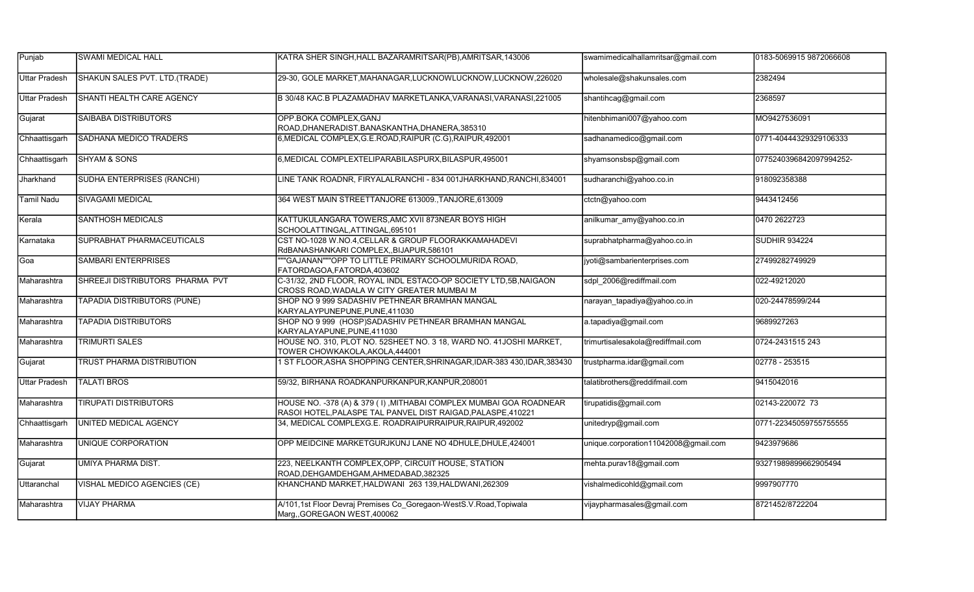| Punjab               | <b>SWAMI MEDICAL HALL</b>          | KATRA SHER SINGH, HALL BAZARAMRITSAR(PB), AMRITSAR, 143006                                                                         | swamimedicalhallamritsar@gmail.com   | 0183-5069915 9872066608 |
|----------------------|------------------------------------|------------------------------------------------------------------------------------------------------------------------------------|--------------------------------------|-------------------------|
| <b>Uttar Pradesh</b> | SHAKUN SALES PVT. LTD. (TRADE)     | 29-30, GOLE MARKET, MAHANAGAR, LUCKNOWLUCKNOW, LUCKNOW, 226020                                                                     | wholesale@shakunsales.com            | 2382494                 |
| <b>Uttar Pradesh</b> | SHANTI HEALTH CARE AGENCY          | B 30/48 KAC.B PLAZAMADHAV MARKETLANKA, VARANASI, VARANASI, 221005                                                                  | shantihcag@gmail.com                 | 2368597                 |
| Gujarat              | <b>SAIBABA DISTRIBUTORS</b>        | OPP.BOKA COMPLEX, GANJ<br>ROAD, DHANERADIST. BANASKANTHA, DHANERA, 385310                                                          | hitenbhimani007@yahoo.com            | MO9427536091            |
| Chhaattisgarh        | <b>SADHANA MEDICO TRADERS</b>      | 6, MEDICAL COMPLEX, G.E.ROAD, RAIPUR (C.G), RAIPUR, 492001                                                                         | sadhanamedico@gmail.com              | 0771-40444329329106333  |
| Chhaattisgarh        | <b>SHYAM &amp; SONS</b>            | 6, MEDICAL COMPLEXTELIPARABILASPURX, BILASPUR, 495001                                                                              | shyamsonsbsp@gmail.com               | 0775240396842097994252- |
| Jharkhand            | SUDHA ENTERPRISES (RANCHI)         | LINE TANK ROADNR, FIRYALALRANCHI - 834 001JHARKHAND,RANCHI,834001                                                                  | sudharanchi@yahoo.co.in              | 918092358388            |
| <b>Tamil Nadu</b>    | <b>SIVAGAMI MEDICAL</b>            | 364 WEST MAIN STREETTANJORE 613009., TANJORE, 613009                                                                               | ctctn@yahoo.com                      | 9443412456              |
| Kerala               | <b>SANTHOSH MEDICALS</b>           | KATTUKULANGARA TOWERS, AMC XVII 873NEAR BOYS HIGH<br>SCHOOLATTINGAL, ATTINGAL, 695101                                              | anilkumar_amy@yahoo.co.in            | 0470 2622723            |
| Karnataka            | SUPRABHAT PHARMACEUTICALS          | CST NO-1028 W.NO.4, CELLAR & GROUP FLOORAKKAMAHADEVI<br>RdBANASHANKARI COMPLEX, BIJAPUR, 586101                                    | suprabhatpharma@yahoo.co.in          | <b>SUDHIR 934224</b>    |
| Goa                  | <b>SAMBARI ENTERPRISES</b>         | "GAJANAN""OPP TO LITTLE PRIMARY SCHOOLMURIDA ROAD,<br>FATORDAGOA, FATORDA, 403602                                                  | jyoti@sambarienterprises.com         | 27499282749929          |
| Maharashtra          | SHREEJI DISTRIBUTORS PHARMA PVT    | C-31/32, 2ND FLOOR, ROYAL INDL ESTACO-OP SOCIETY LTD,5B, NAIGAON<br>CROSS ROAD, WADALA W CITY GREATER MUMBAI M                     | sdpl 2006@rediffmail.com             | 022-49212020            |
| Maharashtra          | <b>TAPADIA DISTRIBUTORS (PUNE)</b> | SHOP NO 9 999 SADASHIV PETHNEAR BRAMHAN MANGAL<br>KARYALAYPUNEPUNE, PUNE, 411030                                                   | narayan_tapadiya@yahoo.co.in         | 020-24478599/244        |
| Maharashtra          | <b>TAPADIA DISTRIBUTORS</b>        | SHOP NO 9 999 (HOSP)SADASHIV PETHNEAR BRAMHAN MANGAL<br>KARYALAYAPUNE, PUNE, 411030                                                | a.tapadiya@gmail.com                 | 9689927263              |
| Maharashtra          | <b>TRIMURTI SALES</b>              | HOUSE NO. 310, PLOT NO. 52SHEET NO. 3 18, WARD NO. 41JOSHI MARKET,<br>TOWER CHOWKAKOLA, AKOLA, 444001                              | trimurtisalesakola@rediffmail.com    | 0724-2431515 243        |
| Gujarat              | <b>TRUST PHARMA DISTRIBUTION</b>   | 1 ST FLOOR, ASHA SHOPPING CENTER, SHRINAGAR, IDAR-383 430, IDAR, 383430                                                            | trustpharma.idar@gmail.com           | 02778 - 253515          |
| Uttar Pradesh        | <b>TALATI BROS</b>                 | 59/32, BIRHANA ROADKANPURKANPUR, KANPUR, 208001                                                                                    | talatibrothers@reddifmail.com        | 9415042016              |
| Maharashtra          | <b>TIRUPATI DISTRIBUTORS</b>       | HOUSE NO. -378 (A) & 379 (I), MITHABAI COMPLEX MUMBAI GOA ROADNEAR<br>RASOI HOTEL, PALASPE TAL PANVEL DIST RAIGAD, PALASPE, 410221 | tirupatidis@gmail.com                | 02143-220072 73         |
| Chhaattisgarh        | UNITED MEDICAL AGENCY              | 34, MEDICAL COMPLEXG.E. ROADRAIPURRAIPUR, RAIPUR, 492002                                                                           | unitedryp@gmail.com                  | 0771-22345059755755555  |
| Maharashtra          | <b>UNIQUE CORPORATION</b>          | OPP MEIDCINE MARKETGURJKUNJ LANE NO 4DHULE, DHULE, 424001                                                                          | unique.corporation11042008@gmail.com | 9423979686              |
| Gujarat              | <b>UMIYA PHARMA DIST.</b>          | 223, NEELKANTH COMPLEX, OPP, CIRCUIT HOUSE, STATION<br>ROAD, DEHGAMDEHGAM, AHMEDABAD, 382325                                       | mehta.purav18@gmail.com              | 93271989899662905494    |
| Uttaranchal          | <b>VISHAL MEDICO AGENCIES (CE)</b> | KHANCHAND MARKET, HALDWANI 263 139, HALDWANI, 262309                                                                               | vishalmedicohld@gmail.com            | 9997907770              |
| Maharashtra          | <b>VIJAY PHARMA</b>                | A/101,1st Floor Devraj Premises Co Goregaon-WestS.V.Road,Topiwala<br>Marg,, GOREGAON WEST, 400062                                  | vijaypharmasales@gmail.com           | 8721452/8722204         |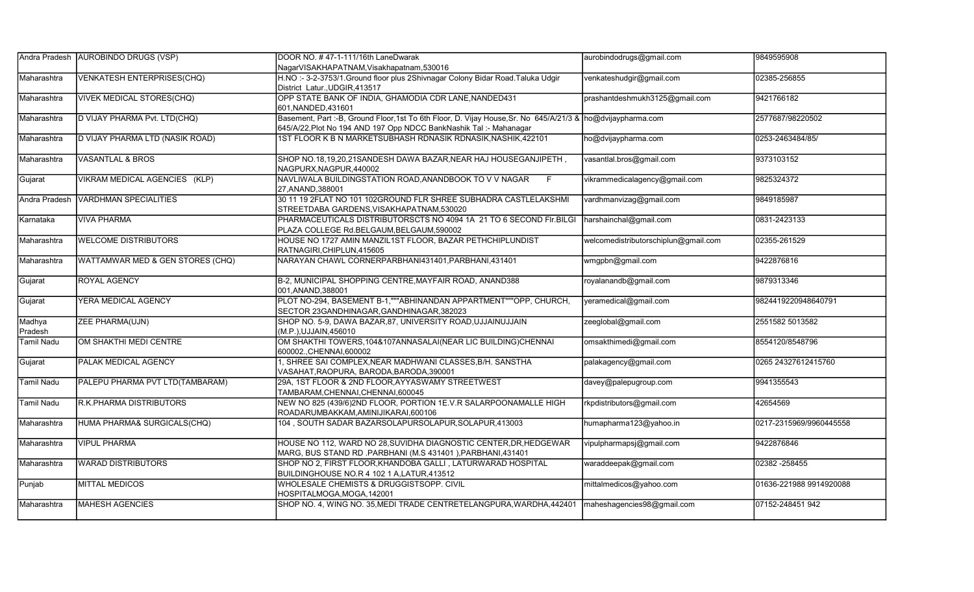| Andra Pradesh     | <b>AUROBINDO DRUGS (VSP)</b>      | DOOR NO. #47-1-111/16th LaneDwarak                                                                                                                                                 | aurobindodrugs@gmail.com             | 9849595908              |
|-------------------|-----------------------------------|------------------------------------------------------------------------------------------------------------------------------------------------------------------------------------|--------------------------------------|-------------------------|
|                   |                                   | NagarVISAKHAPATNAM, Visakhapatnam, 530016                                                                                                                                          |                                      |                         |
| Maharashtra       | <b>VENKATESH ENTERPRISES(CHQ)</b> | H.NO:-3-2-3753/1. Ground floor plus 2Shivnagar Colony Bidar Road. Taluka Udgir<br>District Latur., UDGIR, 413517                                                                   | venkateshudgir@gmail.com             | 02385-256855            |
| Maharashtra       | <b>VIVEK MEDICAL STORES(CHQ)</b>  | OPP STATE BANK OF INDIA, GHAMODIA CDR LANE, NANDED431<br>601, NANDED, 431601                                                                                                       | prashantdeshmukh3125@gmail.com       | 9421766182              |
| Maharashtra       | D VIJAY PHARMA Pvt. LTD(CHQ)      | Basement, Part :- B, Ground Floor, 1st To 6th Floor, D. Vijay House, Sr. No 645/A/21/3 & ho@dvijaypharma.com<br>645/A/22, Plot No 194 AND 197 Opp NDCC BankNashik Tal: - Mahanagar |                                      | 2577687/98220502        |
| Maharashtra       | D VIJAY PHARMA LTD (NASIK ROAD)   | IST FLOOR K B N MARKETSUBHASH RDNASIK RDNASIK,NASHIK,422101                                                                                                                        | ho@dvijaypharma.com                  | 0253-2463484/85/        |
| Maharashtra       | <b>VASANTLAL &amp; BROS</b>       | SHOP NO.18,19,20,21SANDESH DAWA BAZAR, NEAR HAJ HOUSEGANJIPETH,<br>NAGPURX,NAGPUR,440002                                                                                           | vasantlal.bros@gmail.com             | 9373103152              |
| Gujarat           | VIKRAM MEDICAL AGENCIES (KLP)     | NAVLIWALA BUILDINGSTATION ROAD, ANANDBOOK TO V V NAGAR<br>F<br>27, ANAND, 388001                                                                                                   | vikrammedicalagency@gmail.com        | 9825324372              |
| Andra Pradesh     | <b>VARDHMAN SPECIALITIES</b>      | 30 11 19 2FLAT NO 101 102GROUND FLR SHREE SUBHADRA CASTLELAKSHMI<br>STREETDABA GARDENS, VISAKHAPATNAM, 530020                                                                      | vardhmanvizag@gmail.com              | 9849185987              |
| Karnataka         | <b>VIVA PHARMA</b>                | PHARMACEUTICALS DISTRIBUTORSCTS NO 4094 1A 21 TO 6 SECOND FIr.BILGI<br>PLAZA COLLEGE Rd.BELGAUM, BELGAUM, 590002                                                                   | harshainchal@gmail.com               | 0831-2423133            |
| Maharashtra       | <b>WELCOME DISTRIBUTORS</b>       | HOUSE NO 1727 AMIN MANZIL1ST FLOOR, BAZAR PETHCHIPLUNDIST<br>RATNAGIRI.CHIPLUN.415605                                                                                              | welcomedistributorschiplun@gmail.com | 02355-261529            |
| Maharashtra       | WATTAMWAR MED & GEN STORES (CHQ)  | NARAYAN CHAWL CORNERPARBHANI431401, PARBHANI, 431401                                                                                                                               | wmgpbn@gmail.com                     | 9422876816              |
| Gujarat           | <b>ROYAL AGENCY</b>               | B-2, MUNICIPAL SHOPPING CENTRE, MAYFAIR ROAD, ANAND388<br>001.ANAND.388001                                                                                                         | royalanandb@gmail.com                | 9879313346              |
| Gujarat           | YERA MEDICAL AGENCY               | PLOT NO-294, BASEMENT B-1, ""ABHINANDAN APPARTMENT""OPP, CHURCH,<br>SECTOR 23GANDHINAGAR, GANDHINAGAR, 382023                                                                      | yeramedical@gmail.com                | 9824419220948640791     |
| Madhya<br>Pradesh | <b>ZEE PHARMA(UJN)</b>            | SHOP NO. 5-9, DAWA BAZAR, 87, UNIVERSITY ROAD, UJJAINUJJAIN<br>(M.P.), UJJAIN, 456010                                                                                              | zeeglobal@gmail.com                  | 2551582 5013582         |
| <b>Tamil Nadu</b> | OM SHAKTHI MEDI CENTRE            | OM SHAKTHI TOWERS, 104& 107ANNASALAI (NEAR LIC BUILDING) CHENNAI<br>600002. CHENNAI 600002                                                                                         | omsakthimedi@gmail.com               | 8554120/8548796         |
| Gujarat           | <b>PALAK MEDICAL AGENCY</b>       | , SHREE SAI COMPLEX, NEAR MADHWANI CLASSES, B/H. SANSTHA<br>VASAHAT, RAOPURA, BARODA, BARODA, 390001                                                                               | palakagency@gmail.com                | 0265 24327612415760     |
| <b>Tamil Nadu</b> | PALEPU PHARMA PVT LTD(TAMBARAM)   | 29A, 1ST FLOOR & 2ND FLOOR, AYYASWAMY STREETWEST<br>TAMBARAM, CHENNAI, CHENNAI, 600045                                                                                             | davey@palepugroup.com                | 9941355543              |
| <b>Tamil Nadu</b> | R.K.PHARMA DISTRIBUTORS           | NEW NO 825 (439/6)2ND FLOOR, PORTION 1E.V.R SALARPOONAMALLE HIGH<br>ROADARUMBAKKAM, AMINIJIKARAI, 600106                                                                           | rkpdistributors@gmail.com            | 42654569                |
| Maharashtra       | HUMA PHARMA& SURGICALS(CHQ)       | 104, SOUTH SADAR BAZARSOLAPURSOLAPUR, SOLAPUR, 413003                                                                                                                              | humapharma123@yahoo.in               | 0217-2315969/9960445558 |
| Maharashtra       | <b>VIPUL PHARMA</b>               | HOUSE NO 112, WARD NO 28, SUVIDHA DIAGNOSTIC CENTER, DR, HEDGEWAR<br>MARG, BUS STAND RD .PARBHANI (M.S 431401), PARBHANI, 431401                                                   | vipulpharmapsj@gmail.com             | 9422876846              |
| Maharashtra       | <b>WARAD DISTRIBUTORS</b>         | SHOP NO 2, FIRST FLOOR, KHANDOBA GALLI, LATURWARAD HOSPITAL<br>BUILDINGHOUSE NO.R 4 102 1 A,LATUR,413512                                                                           | waraddeepak@gmail.com                | 02382 - 258455          |
| Punjab            | <b>MITTAL MEDICOS</b>             | WHOLESALE CHEMISTS & DRUGGISTSOPP. CIVIL<br>HOSPITALMOGA, MOGA, 142001                                                                                                             | mittalmedicos@yahoo.com              | 01636-221988 9914920088 |
| Maharashtra       | <b>MAHESH AGENCIES</b>            | SHOP NO. 4, WING NO. 35, MEDI TRADE CENTRETELANGPURA, WARDHA, 442401                                                                                                               | maheshagencies98@gmail.com           | 07152-248451 942        |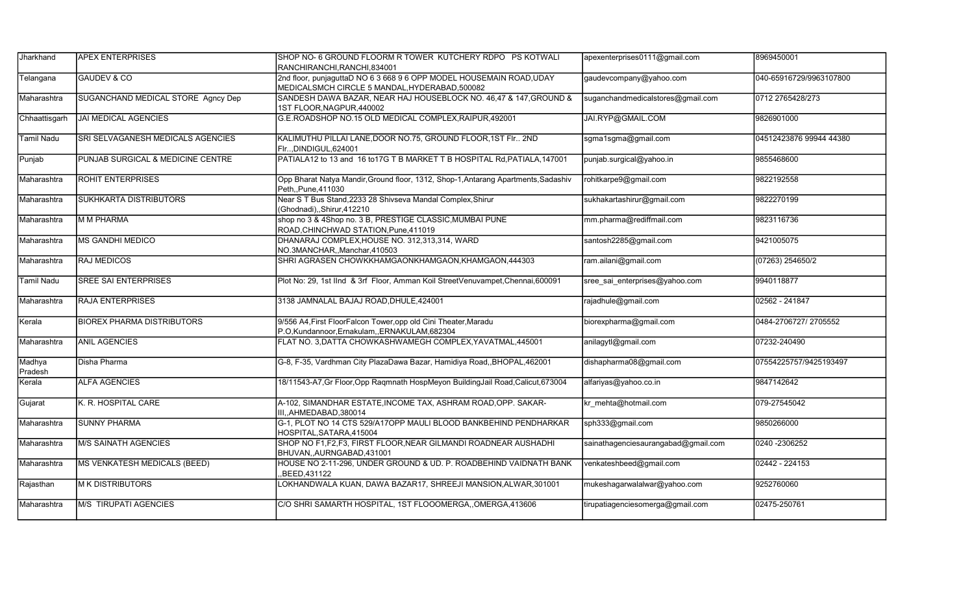| Jharkhand         | <b>APEX ENTERPRISES</b>            | SHOP NO- 6 GROUND FLOORM R TOWER KUTCHERY RDPO PS KOTWALI<br>RANCHIRANCHI.RANCHI.834001                                | apexenterprises0111@gmail.com       | 8969450001              |
|-------------------|------------------------------------|------------------------------------------------------------------------------------------------------------------------|-------------------------------------|-------------------------|
| Telangana         | <b>GAUDEV &amp; CO</b>             | 2nd floor, punjaguttaD NO 6 3 668 9 6 OPP MODEL HOUSEMAIN ROAD, UDAY<br>MEDICALSMCH CIRCLE 5 MANDAL, HYDERABAD, 500082 | gaudevcompany@yahoo.com             | 040-65916729/9963107800 |
| Maharashtra       | SUGANCHAND MEDICAL STORE Agncy Dep | SANDESH DAWA BAZAR, NEAR HAJ HOUSEBLOCK NO. 46,47 & 147, GROUND &<br>1ST FLOOR, NAGPUR, 440002                         | suganchandmedicalstores@gmail.com   | 0712 2765428/273        |
| Chhaattisgarh     | <b>JAI MEDICAL AGENCIES</b>        | G.E.ROADSHOP NO.15 OLD MEDICAL COMPLEX, RAIPUR, 492001                                                                 | JAI.RYP@GMAIL.COM                   | 9826901000              |
| Tamil Nadu        | SRI SELVAGANESH MEDICALS AGENCIES  | KALIMUTHU PILLAI LANE, DOOR NO.75, GROUND FLOOR, 1ST FIr 2ND<br>FlrDINDIGUL.624001                                     | sgma1sgma@gmail.com                 | 04512423876 99944 44380 |
| Punjab            | PUNJAB SURGICAL & MEDICINE CENTRE  | PATIALA12 to 13 and 16 to17G T B MARKET T B HOSPITAL Rd, PATIALA, 147001                                               | punjab.surgical@yahoo.in            | 9855468600              |
| Maharashtra       | <b>ROHIT ENTERPRISES</b>           | Opp Bharat Natya Mandir, Ground floor, 1312, Shop-1, Antarang Apartments, Sadashiv<br>Peth.,Pune,411030                | rohitkarpe9@gmail.com               | 9822192558              |
| Maharashtra       | <b>SUKHKARTA DISTRIBUTORS</b>      | Near S T Bus Stand,2233 28 Shivseva Mandal Complex,Shirur<br>Ghodnadi),,Shirur,412210                                  | sukhakartashirur@gmail.com          | 9822270199              |
| Maharashtra       | M M PHARMA                         | shop no 3 & 4Shop no. 3 B, PRESTIGE CLASSIC, MUMBAI PUNE<br>ROAD, CHINCHWAD STATION, Pune, 411019                      | mm.pharma@rediffmail.com            | 9823116736              |
| Maharashtra       | MS GANDHI MEDICO                   | DHANARAJ COMPLEX, HOUSE NO. 312,313,314, WARD<br>NO.3MANCHAR,,Manchar,410503                                           | santosh2285@gmail.com               | 9421005075              |
| Maharashtra       | <b>RAJ MEDICOS</b>                 | SHRI AGRASEN CHOWKKHAMGAONKHAMGAON, KHAMGAON, 444303                                                                   | ram.ailani@gmail.com                | $(07263)$ 254650/2      |
| Tamil Nadu        | <b>SREE SAI ENTERPRISES</b>        | Plot No: 29, 1st IInd & 3rf Floor, Amman Koil StreetVenuvampet, Chennai, 600091                                        | sree sai enterprises@yahoo.com      | 9940118877              |
| Maharashtra       | <b>RAJA ENTERPRISES</b>            | 3138 JAMNALAL BAJAJ ROAD, DHULE, 424001                                                                                | rajadhule@gmail.com                 | 02562 - 241847          |
| Kerala            | <b>BIOREX PHARMA DISTRIBUTORS</b>  | 9/556 A4, First FloorFalcon Tower, opp old Cini Theater, Maradu<br>P.O,Kundannoor,Ernakulam,,ERNAKULAM,682304          | biorexpharma@gmail.com              | 0484-2706727/ 2705552   |
| Maharashtra       | <b>ANIL AGENCIES</b>               | FLAT NO. 3, DATTA CHOWKASHWAMEGH COMPLEX, YAVATMAL, 445001                                                             | anilagytl@gmail.com                 | 07232-240490            |
| Madhya<br>Pradesh | Disha Pharma                       | G-8, F-35, Vardhman City PlazaDawa Bazar, Hamidiya Road,, BHOPAL, 462001                                               | dishapharma08@gmail.com             | 07554225757/9425193497  |
| Kerala            | <b>ALFA AGENCIES</b>               | 18/11543-A7, Gr Floor, Opp Raqmnath HospMeyon BuildingJail Road, Calicut, 673004                                       | alfariyas@yahoo.co.in               | 9847142642              |
| Gujarat           | K. R. HOSPITAL CARE                | A-102, SIMANDHAR ESTATE, INCOME TAX, ASHRAM ROAD, OPP. SAKAR-<br>III., AHMEDABAD, 380014                               | kr mehta@hotmail.com                | 079-27545042            |
| Maharashtra       | <b>SUNNY PHARMA</b>                | G-1, PLOT NO 14 CTS 529/A17OPP MAULI BLOOD BANKBEHIND PENDHARKAR<br>HOSPITAL, SATARA, 415004                           | sph333@gmail.com                    | 9850266000              |
| Maharashtra       | <b>M/S SAINATH AGENCIES</b>        | SHOP NO F1,F2,F3, FIRST FLOOR, NEAR GILMANDI ROADNEAR AUSHADHI<br>BHUVAN, AURNGABAD, 431001                            | sainathagenciesaurangabad@gmail.com | 0240 -2306252           |
| Maharashtra       | MS VENKATESH MEDICALS (BEED)       | HOUSE NO 2-11-296, UNDER GROUND & UD. P. ROADBEHIND VAIDNATH BANK<br>,BEED,431122                                      | venkateshbeed@gmail.com             | 02442 - 224153          |
| Rajasthan         | M K DISTRIBUTORS                   | LOKHANDWALA KUAN, DAWA BAZAR17, SHREEJI MANSION,ALWAR,301001                                                           | mukeshagarwalalwar@yahoo.com        | 9252760060              |
| Maharashtra       | M/S TIRUPATI AGENCIES              | C/O SHRI SAMARTH HOSPITAL, 1ST FLOOOMERGA,,OMERGA,413606                                                               | tirupatiagenciesomerga@gmail.com    | 02475-250761            |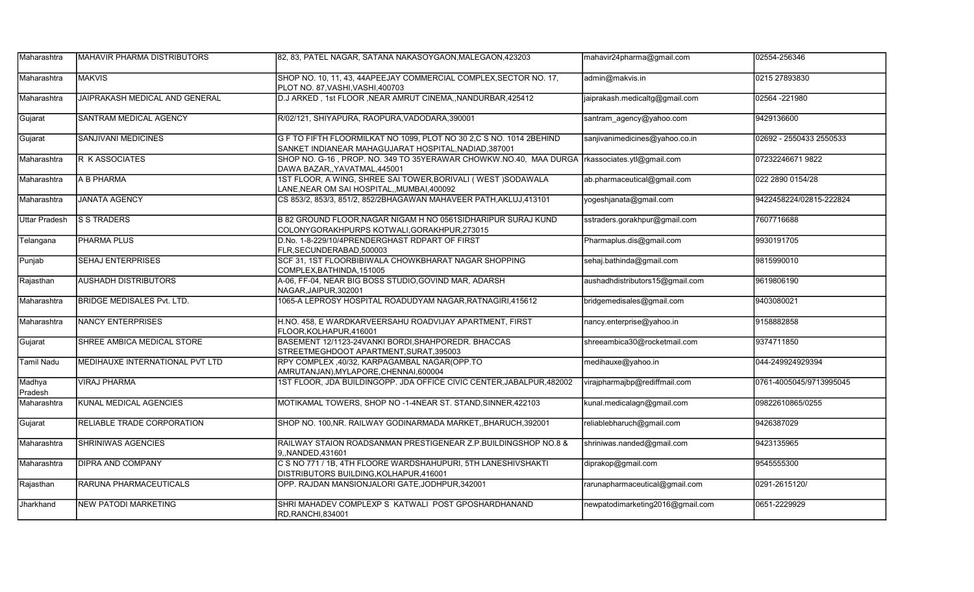| Maharashtra          | IMAHAVIR PHARMA DISTRIBUTORS      | 82, 83, PATEL NAGAR, SATANA NAKASOYGAON, MALEGAON, 423203                                                                    | mahavir24pharma@gmail.com        | 02554-256346            |
|----------------------|-----------------------------------|------------------------------------------------------------------------------------------------------------------------------|----------------------------------|-------------------------|
| Maharashtra          | <b>MAKVIS</b>                     | SHOP NO. 10, 11, 43, 44APEEJAY COMMERCIAL COMPLEX, SECTOR NO. 17,<br>PLOT NO. 87, VASHI, VASHI, 400703                       | admin@makvis.in                  | 0215 27893830           |
| Maharashtra          | JAIPRAKASH MEDICAL AND GENERAL    | D.J ARKED, 1st FLOOR, NEAR AMRUT CINEMA, NANDURBAR, 425412                                                                   | jaiprakash.medicaltg@gmail.com   | 02564 -221980           |
| Gujarat              | SANTRAM MEDICAL AGENCY            | R/02/121, SHIYAPURA, RAOPURA, VADODARA, 390001                                                                               | santram agency@yahoo.com         | 9429136600              |
| Gujarat              | <b>SANJIVANI MEDICINES</b>        | G F TO FIFTH FLOORMILKAT NO 1099, PLOT NO 30 2,C S NO. 1014 2BEHIND<br>SANKET INDIANEAR MAHAGUJARAT HOSPITAL, NADIAD, 387001 | sanjivanimedicines@yahoo.co.in   | 02692 - 2550433 2550533 |
| Maharashtra          | R K ASSOCIATES                    | SHOP NO. G-16, PROP. NO. 349 TO 35YERAWAR CHOWKW.NO.40, MAA DURGA<br>DAWA BAZAR, YAVATMAL, 445001                            | rkassociates.ytl@gmail.com       | 07232246671 9822        |
| Maharashtra          | A B PHARMA                        | 1ST FLOOR, A WING, SHREE SAI TOWER, BORIVALI (WEST) SODAWALA<br>LANE, NEAR OM SAI HOSPITAL, MUMBAI, 400092                   | ab.pharmaceutical@gmail.com      | 022 2890 0154/28        |
| Maharashtra          | <b>JANATA AGENCY</b>              | CS 853/2, 853/3, 851/2, 852/2BHAGAWAN MAHAVEER PATH, AKLUJ, 413101                                                           | yogeshjanata@gmail.com           | 9422458224/02815-222824 |
| <b>Uttar Pradesh</b> | <b>S S TRADERS</b>                | B 82 GROUND FLOOR, NAGAR NIGAM H NO 0561SIDHARIPUR SURAJ KUND<br>COLONYGORAKHPURPS KOTWALI, GORAKHPUR, 273015                | sstraders.gorakhpur@gmail.com    | 7607716688              |
| Telangana            | <b>PHARMA PLUS</b>                | D.No. 1-8-229/10/4PRENDERGHAST RDPART OF FIRST<br>FLR, SECUNDERABAD, 500003                                                  | Pharmaplus.dis@gmail.com         | 9930191705              |
| Punjab               | <b>SEHAJ ENTERPRISES</b>          | SCF 31, 1ST FLOORBIBIWALA CHOWKBHARAT NAGAR SHOPPING<br>COMPLEX, BATHINDA, 151005                                            | sehaj.bathinda@gmail.com         | 9815990010              |
| Rajasthan            | <b>AUSHADH DISTRIBUTORS</b>       | A-06, FF-04, NEAR BIG BOSS STUDIO, GOVIND MAR, ADARSH<br>NAGAR, JAIPUR, 302001                                               | aushadhdistributors15@gmail.com  | 9619806190              |
| Maharashtra          | <b>BRIDGE MEDISALES Pvt. LTD.</b> | 1065-A LEPROSY HOSPITAL ROADUDYAM NAGAR, RATNAGIRI, 415612                                                                   | bridgemedisales@gmail.com        | 9403080021              |
| Maharashtra          | <b>NANCY ENTERPRISES</b>          | H.NO. 458, E WARDKARVEERSAHU ROADVIJAY APARTMENT, FIRST<br>FLOOR.KOLHAPUR.416001                                             | nancy.enterprise@yahoo.in        | 9158882858              |
| Gujarat              | SHREE AMBICA MEDICAL STORE        | BASEMENT 12/1123-24VANKI BORDI, SHAHPOREDR. BHACCAS<br>STREETMEGHDOOT APARTMENT, SURAT, 395003                               | shreeambica30@rocketmail.com     | 9374711850              |
| Tamil Nadu           | IMEDIHAUXE INTERNATIONAL PVT LTD  | RPY COMPLEX ,40/32, KARPAGAMBAL NAGAR(OPP.TO<br>AMRUTANJAN), MYLAPORE, CHENNAI, 600004                                       | medihauxe@yahoo.in               | 044-249924929394        |
| Madhya<br>Pradesh    | <b>VIRAJ PHARMA</b>               | 1ST FLOOR, JDA BUILDINGOPP. JDA OFFICE CIVIC CENTER, JABALPUR, 482002                                                        | virajpharmajbp@rediffmail.com    | 0761-4005045/9713995045 |
| Maharashtra          | KUNAL MEDICAL AGENCIES            | MOTIKAMAL TOWERS, SHOP NO -1-4NEAR ST. STAND, SINNER, 422103                                                                 | kunal.medicalagn@gmail.com       | 09822610865/0255        |
| Gujarat              | RELIABLE TRADE CORPORATION        | SHOP NO. 100, NR. RAILWAY GODINARMADA MARKET, BHARUCH, 392001                                                                | reliablebharuch@gmail.com        | 9426387029              |
| Maharashtra          | <b>SHRINIWAS AGENCIES</b>         | RAILWAY STAION ROADSANMAN PRESTIGENEAR Z.P.BUILDINGSHOP NO.8 &<br>9. NANDED.431601                                           | shriniwas.nanded@gmail.com       | 9423135965              |
| Maharashtra          | <b>DIPRA AND COMPANY</b>          | C S NO 771 / 1B, 4TH FLOORE WARDSHAHUPURI, 5TH LANESHIVSHAKTI<br>DISTRIBUTORS BUILDING, KOLHAPUR, 416001                     | diprakop@gmail.com               | 9545555300              |
| Rajasthan            | RARUNA PHARMACEUTICALS            | OPP. RAJDAN MANSIONJALORI GATE, JODHPUR, 342001                                                                              | rarunapharmaceutical@gmail.com   | 0291-2615120/           |
| Jharkhand            | <b>NEW PATODI MARKETING</b>       | SHRI MAHADEV COMPLEXP S KATWALI POST GPOSHARDHANAND<br>RD.RANCHI.834001                                                      | newpatodimarketing2016@gmail.com | 0651-2229929            |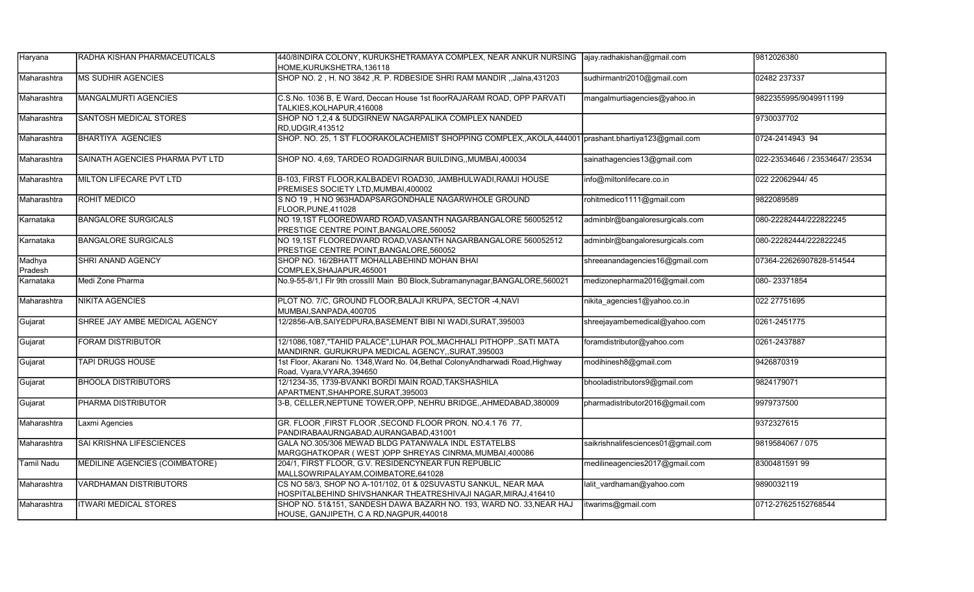| Haryana           | RADHA KISHAN PHARMACEUTICALS    | 440/8INDIRA COLONY, KURUKSHETRAMAYA COMPLEX, NEAR ANKUR NURSING [ajay.radhakishan@gmail.com<br>HOME.KURUKSHETRA.136118         |                                    | 9812026380                     |
|-------------------|---------------------------------|--------------------------------------------------------------------------------------------------------------------------------|------------------------------------|--------------------------------|
| Maharashtra       | <b>MS SUDHIR AGENCIES</b>       | SHOP NO. 2, H. NO 3842, R. P. RDBESIDE SHRI RAM MANDIR, Jalna, 431203                                                          | sudhirmantri2010@gmail.com         | 02482 237337                   |
| Maharashtra       | MANGALMURTI AGENCIES            | C.S.No. 1036 B, E Ward, Deccan House 1st floorRAJARAM ROAD, OPP PARVATI<br>TALKIES, KOLHAPUR, 416008                           | mangalmurtiagencies@yahoo.in       | 9822355995/9049911199          |
| Maharashtra       | <b>SANTOSH MEDICAL STORES</b>   | SHOP NO 1,2,4 & 5UDGIRNEW NAGARPALIKA COMPLEX NANDED<br>RD, UDGIR, 413512                                                      |                                    | 9730037702                     |
| Maharashtra       | <b>BHARTIYA AGENCIES</b>        | SHOP. NO. 25, 1 ST FLOORAKOLACHEMIST SHOPPING COMPLEX, AKOLA, 444001 prashant.bhartiya123@gmail.com                            |                                    | 0724-2414943 94                |
| Maharashtra       | SAINATH AGENCIES PHARMA PVT LTD | SHOP NO. 4,69, TARDEO ROADGIRNAR BUILDING,, MUMBAI, 400034                                                                     | sainathagencies13@gmail.com        | 022-23534646 / 23534647/ 23534 |
| Maharashtra       | MILTON LIFECARE PVT LTD         | B-103, FIRST FLOOR, KALBADEVI ROAD30, JAMBHULWADI, RAMJI HOUSE<br>PREMISES SOCIETY LTD, MUMBAI, 400002                         | info@miltonlifecare.co.in          | 022 22062944/45                |
| Maharashtra       | <b>ROHIT MEDICO</b>             | S NO 19, H NO 963HADAPSARGONDHALE NAGARWHOLE GROUND<br>FLOOR.PUNE.411028                                                       | rohitmedico1111@gmail.com          | 9822089589                     |
| Karnataka         | <b>BANGALORE SURGICALS</b>      | NO 19,1ST FLOOREDWARD ROAD, VASANTH NAGARBANGALORE 560052512<br>PRESTIGE CENTRE POINT, BANGALORE, 560052                       | adminblr@bangaloresurgicals.com    | 080-22282444/222822245         |
| Karnataka         | <b>BANGALORE SURGICALS</b>      | NO 19,1ST FLOOREDWARD ROAD, VASANTH NAGARBANGALORE 560052512<br>PRESTIGE CENTRE POINT, BANGALORE, 560052                       | adminblr@bangaloresurgicals.com    | 080-22282444/222822245         |
| Madhya<br>Pradesh | <b>SHRI ANAND AGENCY</b>        | SHOP NO. 16/2BHATT MOHALLABEHIND MOHAN BHAI<br>COMPLEX, SHAJAPUR, 465001                                                       | shreeanandagencies16@gmail.com     | 07364-22626907828-514544       |
| Karnataka         | Medi Zone Pharma                | No.9-55-8/1,I Flr 9th crossIII Main B0 Block, Subramanynagar, BANGALORE, 560021                                                | medizonepharma2016@gmail.com       | 080-23371854                   |
| Maharashtra       | <b>NIKITA AGENCIES</b>          | PLOT NO. 7/C, GROUND FLOOR, BALAJI KRUPA, SECTOR -4, NAVI<br>MUMBAI.SANPADA.400705                                             | nikita agencies1@yahoo.co.in       | 022 27751695                   |
| Gujarat           | SHREE JAY AMBE MEDICAL AGENCY   | 12/2856-A/B,SAIYEDPURA,BASEMENT BIBI NI WADI,SURAT,395003                                                                      | shreejayambemedical@yahoo.com      | 0261-2451775                   |
| Gujarat           | <b>FORAM DISTRIBUTOR</b>        | 12/1086,1087,"TAHID PALACE",LUHAR POL,MACHHALI PITHOPPSATI MATA<br>MANDIRNR. GURUKRUPA MEDICAL AGENCY, SURAT, 395003           | foramdistributor@yahoo.com         | 0261-2437887                   |
| Gujarat           | <b>TAPI DRUGS HOUSE</b>         | 1st Floor, Akarani No. 1348,Ward No. 04,Bethal ColonyAndharwadi Road,Highway<br>Road, Vyara, VYARA, 394650                     | modihinesh8@gmail.com              | 9426870319                     |
| Gujarat           | <b>BHOOLA DISTRIBUTORS</b>      | 12/1234-35, 1739-BVANKI BORDI MAIN ROAD,TAKSHASHILA<br>APARTMENT, SHAHPORE, SURAT, 395003                                      | bhooladistributors9@gmail.com      | 9824179071                     |
| Gujarat           | <b>PHARMA DISTRIBUTOR</b>       | 3-B, CELLER, NEPTUNE TOWER, OPP, NEHRU BRIDGE, AHMEDABAD, 380009                                                               | pharmadistributor2016@gmail.com    | 9979737500                     |
| Maharashtra       | Laxmi Agencies                  | GR. FLOOR , FIRST FLOOR , SECOND FLOOR PRON. NO.4.1 76 77,<br>PANDIRABAAURNGABAD, AURANGABAD, 431001                           |                                    | 9372327615                     |
| Maharashtra       | <b>SAI KRISHNA LIFESCIENCES</b> | GALA NO.305/306 MEWAD BLDG PATANWALA INDL ESTATELBS<br>MARGGHATKOPAR ( WEST )OPP SHREYAS CINRMA,MUMBAI,400086                  | saikrishnalifesciences01@gmail.com | 9819584067 / 075               |
| Tamil Nadu        | MEDILINE AGENCIES (COIMBATORE)  | 204/1, FIRST FLOOR, G.V. RESIDENCYNEAR FUN REPUBLIC<br>MALLSOWRIPALAYAM, COIMBATORE, 641028                                    | medilineagencies2017@gmail.com     | 8300481591 99                  |
| Maharashtra       | <b>VARDHAMAN DISTRIBUTORS</b>   | CS NO 58/3, SHOP NO A-101/102, 01 & 02SUVASTU SANKUL, NEAR MAA<br>HOSPITALBEHIND SHIVSHANKAR THEATRESHIVAJI NAGAR,MIRAJ,416410 | lalit vardhaman@yahoo.com          | 9890032119                     |
| Maharashtra       | <b>ITWARI MEDICAL STORES</b>    | SHOP NO. 51&151, SANDESH DAWA BAZARH NO. 193, WARD NO. 33, NEAR HAJ<br>HOUSE, GANJIPETH, C A RD, NAGPUR, 440018                | itwarims@gmail.com                 | 0712-27625152768544            |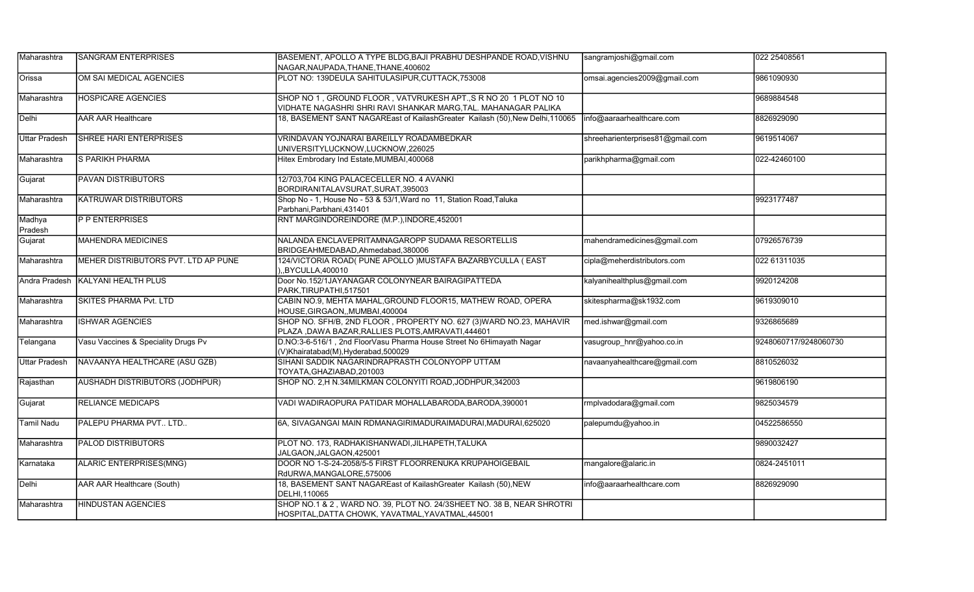| Maharashtra          | <b>SANGRAM ENTERPRISES</b>          | BASEMENT, APOLLO A TYPE BLDG, BAJI PRABHU DESHPANDE ROAD, VISHNU<br>NAGAR, NAUPADA, THANE, THANE, 400602                           | sangramjoshi@gmail.com           | 022 25408561          |
|----------------------|-------------------------------------|------------------------------------------------------------------------------------------------------------------------------------|----------------------------------|-----------------------|
| Orissa               | OM SAI MEDICAL AGENCIES             | PLOT NO: 139DEULA SAHITULASIPUR, CUTTACK, 753008                                                                                   | omsai.agencies2009@gmail.com     | 9861090930            |
| Maharashtra          | <b>HOSPICARE AGENCIES</b>           | SHOP NO 1, GROUND FLOOR, VATVRUKESH APT., S R NO 20 1 PLOT NO 10<br>VIDHATE NAGASHRI SHRI RAVI SHANKAR MARG, TAL. MAHANAGAR PALIKA |                                  | 9689884548            |
| Delhi                | <b>AAR AAR Healthcare</b>           | 18, BASEMENT SANT NAGAREast of KailashGreater Kailash (50), New Delhi, 110065                                                      | info@aaraarhealthcare.com        | 8826929090            |
| <b>Uttar Pradesh</b> | ISHREE HARI ENTERPRISES             | VRINDAVAN YOJNARAI BAREILLY ROADAMBEDKAR<br>UNIVERSITYLUCKNOW,LUCKNOW,226025                                                       | shreeharienterprises81@gmail.com | 9619514067            |
| Maharashtra          | S PARIKH PHARMA                     | Hitex Embrodary Ind Estate, MUMBAI, 400068                                                                                         | parikhpharma@gmail.com           | 022-42460100          |
| Gujarat              | <b>PAVAN DISTRIBUTORS</b>           | 12/703,704 KING PALACECELLER NO. 4 AVANKI<br>BORDIRANITALAVSURAT.SURAT.395003                                                      |                                  |                       |
| Maharashtra          | <b>KATRUWAR DISTRIBUTORS</b>        | Shop No - 1, House No - 53 & 53/1, Ward no 11, Station Road, Taluka<br>Parbhani.Parbhani.431401                                    |                                  | 9923177487            |
| Madhya<br>Pradesh    | <b>P P ENTERPRISES</b>              | RNT MARGINDOREINDORE (M.P.), INDORE, 452001                                                                                        |                                  |                       |
| Gujarat              | <b>MAHENDRA MEDICINES</b>           | NALANDA ENCLAVEPRITAMNAGAROPP SUDAMA RESORTELLIS<br>BRIDGEAHMEDABAD, Ahmedabad, 380006                                             | mahendramedicines@gmail.com      | 07926576739           |
| Maharashtra          | MEHER DISTRIBUTORS PVT. LTD AP PUNE | 124/VICTORIA ROAD( PUNE APOLLO )MUSTAFA BAZARBYCULLA ( EAST<br>.BYCULLA.400010                                                     | cipla@meherdistributors.com      | 022 61311035          |
| Andra Pradesh        | <b>KALYANI HEALTH PLUS</b>          | Door No.152/1JAYANAGAR COLONYNEAR BAIRAGIPATTEDA<br>PARK.TIRUPATHI.517501                                                          | kalyanihealthplus@gmail.com      | 9920124208            |
| Maharashtra          | <b>SKITES PHARMA Pvt. LTD</b>       | CABIN NO.9, MEHTA MAHAL, GROUND FLOOR15, MATHEW ROAD, OPERA<br>HOUSE, GIRGAON, MUMBAI, 400004                                      | skitespharma@sk1932.com          | 9619309010            |
| Maharashtra          | <b>ISHWAR AGENCIES</b>              | SHOP NO. SFH/B, 2ND FLOOR, PROPERTY NO. 627 (3) WARD NO.23, MAHAVIR<br>PLAZA, DAWA BAZAR, RALLIES PLOTS, AMRAVATI, 444601          | med.ishwar@gmail.com             | 9326865689            |
| Telangana            | Vasu Vaccines & Speciality Drugs Pv | D.NO:3-6-516/1, 2nd FloorVasu Pharma House Street No 6Himayath Nagar<br>(V)Khairatabad(M),Hyderabad,500029                         | vasugroup hnr@yahoo.co.in        | 9248060717/9248060730 |
| <b>Uttar Pradesh</b> | NAVAANYA HEALTHCARE (ASU GZB)       | SIHANI SADDIK NAGARINDRAPRASTH COLONYOPP UTTAM<br>TOYATA, GHAZIABAD, 201003                                                        | navaanyahealthcare@gmail.com     | 8810526032            |
| Rajasthan            | AUSHADH DISTRIBUTORS (JODHPUR)      | SHOP NO. 2, H N.34MILKMAN COLONYITI ROAD, JODHPUR, 342003                                                                          |                                  | 9619806190            |
| Gujarat              | <b>RELIANCE MEDICAPS</b>            | VADI WADIRAOPURA PATIDAR MOHALLABARODA,BARODA,390001                                                                               | rmplvadodara@gmail.com           | 9825034579            |
| <b>Tamil Nadu</b>    | PALEPU PHARMA PVT LTD               | 6A, SIVAGANGAI MAIN RDMANAGIRIMADURAIMADURAI, MADURAI, 625020                                                                      | palepumdu@yahoo.in               | 04522586550           |
| Maharashtra          | <b>PALOD DISTRIBUTORS</b>           | PLOT NO. 173, RADHAKISHANWADI, JILHAPETH, TALUKA<br>JALGAON.JALGAON.425001                                                         |                                  | 9890032427            |
| Karnataka            | ALARIC ENTERPRISES(MNG)             | DOOR NO 1-S-24-2058/5-5 FIRST FLOORRENUKA KRUPAHOIGEBAIL<br>RdURWA, MANGALORE, 575006                                              | mangalore@alaric.in              | 0824-2451011          |
| Delhi                | AAR AAR Healthcare (South)          | 18, BASEMENT SANT NAGAREast of KailashGreater Kailash (50), NEW<br>DELHI.110065                                                    | info@aaraarhealthcare.com        | 8826929090            |
| Maharashtra          | <b>HINDUSTAN AGENCIES</b>           | SHOP NO.1 & 2, WARD NO. 39, PLOT NO. 24/3SHEET NO. 38 B, NEAR SHROTRI<br>HOSPITAL, DATTA CHOWK, YAVATMAL, YAVATMAL, 445001         |                                  |                       |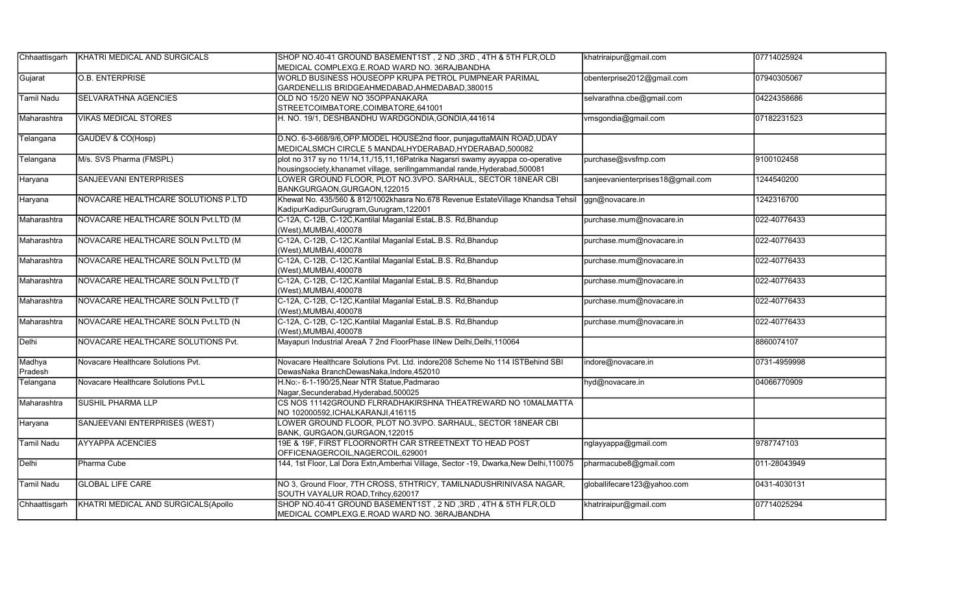| Chhaattisgarh     | KHATRI MEDICAL AND SURGICALS        | SHOP NO.40-41 GROUND BASEMENT1ST, 2 ND, 3RD, 4TH & 5TH FLR, OLD                                                                                             | khatriraipur@gmail.com            | 07714025924  |
|-------------------|-------------------------------------|-------------------------------------------------------------------------------------------------------------------------------------------------------------|-----------------------------------|--------------|
|                   |                                     | MEDICAL COMPLEXG.E.ROAD WARD NO. 36RAJBANDHA                                                                                                                |                                   |              |
| Gujarat           | <b>O.B. ENTERPRISE</b>              | WORLD BUSINESS HOUSEOPP KRUPA PETROL PUMPNEAR PARIMAL                                                                                                       | obenterprise2012@gmail.com        | 07940305067  |
|                   |                                     | GARDENELLIS BRIDGEAHMEDABAD, AHMEDABAD, 380015                                                                                                              |                                   |              |
| <b>Tamil Nadu</b> | <b>SELVARATHNA AGENCIES</b>         | OLD NO 15/20 NEW NO 35OPPANAKARA                                                                                                                            | selvarathna.cbe@gmail.com         | 04224358686  |
|                   |                                     | STREETCOIMBATORE, COIMBATORE, 641001                                                                                                                        |                                   |              |
| Maharashtra       | <b>VIKAS MEDICAL STORES</b>         | H. NO. 19/1, DESHBANDHU WARDGONDIA, GONDIA, 441614                                                                                                          | vmsgondia@gmail.com               | 07182231523  |
| Telangana         | GAUDEV & CO(Hosp)                   | D.NO. 6-3-668/9/6, OPP.MODEL HOUSE2nd floor, punjaguttaMAIN ROAD, UDAY<br>MEDICALSMCH CIRCLE 5 MANDALHYDERABAD, HYDERABAD, 500082                           |                                   |              |
| Telangana         | M/s. SVS Pharma (FMSPL)             | plot no 317 sy no 11/14,11,/15,11,16Patrika Nagarsri swamy ayyappa co-operative<br>housingsociety,khanamet village, serillngammandal rande,Hyderabad,500081 | purchase@svsfmp.com               | 9100102458   |
| Haryana           | <b>SANJEEVANI ENTERPRISES</b>       | LOWER GROUND FLOOR, PLOT NO.3VPO. SARHAUL, SECTOR 18NEAR CBI<br>BANKGURGAON, GURGAON, 122015                                                                | sanjeevanienterprises18@gmail.com | 1244540200   |
| Haryana           | NOVACARE HEALTHCARE SOLUTIONS P.LTD | Khewat No. 435/560 & 812/1002khasra No.678 Revenue EstateVillage Khandsa Tehsil<br>KadipurKadipurGurugram, Gurugram, 122001                                 | ggn@novacare.in                   | 1242316700   |
| Maharashtra       | NOVACARE HEALTHCARE SOLN Pvt.LTD (M | C-12A, C-12B, C-12C, Kantilal Maganlal EstaL.B.S. Rd, Bhandup<br>(West), MUMBAI, 400078                                                                     | purchase.mum@novacare.in          | 022-40776433 |
| Maharashtra       | NOVACARE HEALTHCARE SOLN Pvt.LTD (M | C-12A, C-12B, C-12C, Kantilal Maganlal EstaL.B.S. Rd, Bhandup<br>(West),MUMBAI,400078                                                                       | purchase.mum@novacare.in          | 022-40776433 |
| Maharashtra       | NOVACARE HEALTHCARE SOLN Pvt.LTD (M | C-12A, C-12B, C-12C, Kantilal Maganlal EstaL.B.S. Rd, Bhandup<br>(West), MUMBAI, 400078                                                                     | purchase.mum@novacare.in          | 022-40776433 |
| Maharashtra       | NOVACARE HEALTHCARE SOLN Pvt.LTD (T | C-12A, C-12B, C-12C, Kantilal Maganlal EstaL.B.S. Rd, Bhandup<br>(West),MUMBAI,400078                                                                       | purchase.mum@novacare.in          | 022-40776433 |
| Maharashtra       | NOVACARE HEALTHCARE SOLN Pvt.LTD (T | C-12A, C-12B, C-12C, Kantilal Maganlal EstaL.B.S. Rd, Bhandup<br>(West), MUMBAI, 400078                                                                     | purchase.mum@novacare.in          | 022-40776433 |
| Maharashtra       | NOVACARE HEALTHCARE SOLN Pvt.LTD (N | C-12A, C-12B, C-12C, Kantilal Maganlal EstaL.B.S. Rd, Bhandup<br>West), MUMBAI, 400078                                                                      | purchase.mum@novacare.in          | 022-40776433 |
| Delhi             | NOVACARE HEALTHCARE SOLUTIONS Pvt.  | Mayapuri Industrial AreaA 7 2nd FloorPhase IINew Delhi,Delhi,110064                                                                                         |                                   | 8860074107   |
| Madhya<br>Pradesh | Novacare Healthcare Solutions Pvt.  | Novacare Healthcare Solutions Pvt. Ltd. indore208 Scheme No 114 ISTBehind SBI<br>DewasNaka BranchDewasNaka.Indore.452010                                    | indore@novacare.in                | 0731-4959998 |
| Telangana         | Novacare Healthcare Solutions Pvt.L | H.No:- 6-1-190/25, Near NTR Statue, Padmarao<br>Nagar, Secunderabad, Hyderabad, 500025                                                                      | hyd@novacare.in                   | 04066770909  |
| Maharashtra       | <b>SUSHIL PHARMA LLP</b>            | CS NOS 11142GROUND FLRRADHAKIRSHNA THEATREWARD NO 10MALMATTA<br>NO 102000592, ICHALKARANJI, 416115                                                          |                                   |              |
| Haryana           | SANJEEVANI ENTERPRISES (WEST)       | OWER GROUND FLOOR, PLOT NO.3VPO. SARHAUL, SECTOR 18NEAR CBI<br>BANK, GURGAON, GURGAON, 122015                                                               |                                   |              |
| <b>Tamil Nadu</b> | <b>AYYAPPA ACENCIES</b>             | 19E & 19F, FIRST FLOORNORTH CAR STREETNEXT TO HEAD POST<br>OFFICENAGERCOIL, NAGERCOIL, 629001                                                               | nglayyappa@gmail.com              | 9787747103   |
| Delhi             | Pharma Cube                         | 144, 1st Floor, Lal Dora Extn,Amberhai Village, Sector -19, Dwarka,New Delhi,110075                                                                         | pharmacube8@gmail.com             | 011-28043949 |
| <b>Tamil Nadu</b> | <b>GLOBAL LIFE CARE</b>             | NO 3, Ground Floor, 7TH CROSS, 5THTRICY, TAMILNADUSHRINIVASA NAGAR,<br>SOUTH VAYALUR ROAD, Trihcy, 620017                                                   | globallifecare123@yahoo.com       | 0431-4030131 |
| Chhaattisgarh     | KHATRI MEDICAL AND SURGICALS(Apollo | SHOP NO.40-41 GROUND BASEMENT1ST, 2 ND, 3RD, 4TH & 5TH FLR, OLD<br>MEDICAL COMPLEXG.E.ROAD WARD NO. 36RAJBANDHA                                             | khatriraipur@gmail.com            | 07714025294  |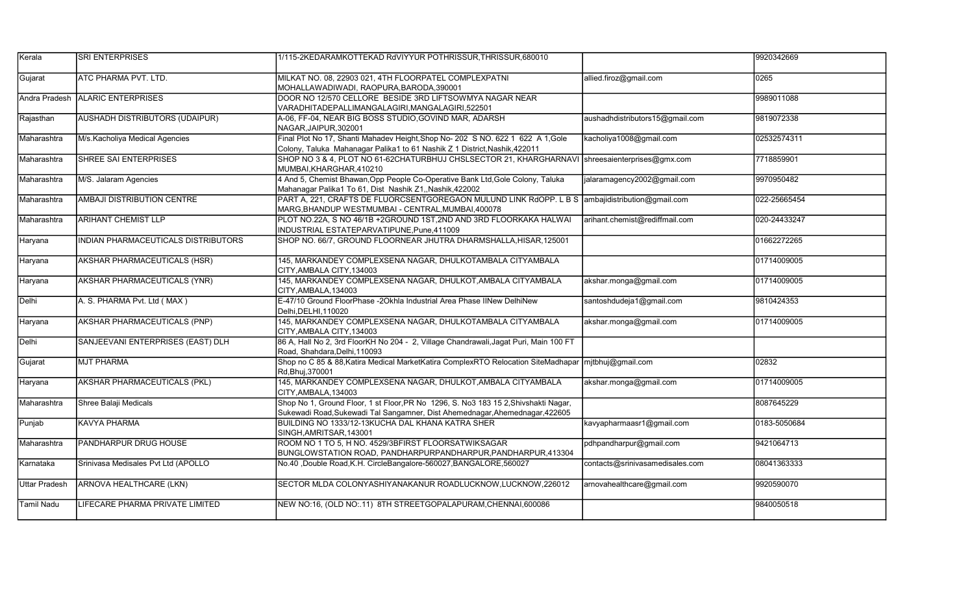| Kerala               | <b>SRI ENTERPRISES</b>                | 1/115-2KEDARAMKOTTEKAD RdVIYYUR POTHRISSUR.THRISSUR.680010                                                                                                          |                                 | 9920342669   |
|----------------------|---------------------------------------|---------------------------------------------------------------------------------------------------------------------------------------------------------------------|---------------------------------|--------------|
| Gujarat              | ATC PHARMA PVT. LTD.                  | MILKAT NO. 08, 22903 021, 4TH FLOORPATEL COMPLEXPATNI<br>MOHALLAWADIWADI, RAOPURA, BARODA, 390001                                                                   | allied.firoz@gmail.com          | 0265         |
| Andra Pradesh        | <b>ALARIC ENTERPRISES</b>             | DOOR NO 12/570 CELLORE BESIDE 3RD LIFTSOWMYA NAGAR NEAR<br>VARADHITADEPALLIMANGALAGIRI, MANGALAGIRI, 522501                                                         |                                 | 9989011088   |
| Rajasthan            | <b>AUSHADH DISTRIBUTORS (UDAIPUR)</b> | A-06, FF-04, NEAR BIG BOSS STUDIO, GOVIND MAR, ADARSH<br>NAGAR.JAIPUR.302001                                                                                        | aushadhdistributors15@gmail.com | 9819072338   |
| Maharashtra          | M/s.Kacholiya Medical Agencies        | Final Plot No 17, Shanti Mahadev Height, Shop No- 202 S NO. 622 1 622 A 1, Gole<br>Colony, Taluka Mahanagar Palika1 to 61 Nashik Z 1 District, Nashik, 422011       | kacholiya1008@gmail.com         | 02532574311  |
| Maharashtra          | <b>SHREE SAI ENTERPRISES</b>          | SHOP NO 3 & 4, PLOT NO 61-62CHATURBHUJ CHSLSECTOR 21, KHARGHARNAVI<br>MUMBAI.KHARGHAR.410210                                                                        | shreesaienterprises@gmx.com     | 7718859901   |
| Maharashtra          | M/S. Jalaram Agencies                 | 4 And 5, Chemist Bhawan, Opp People Co-Operative Bank Ltd, Gole Colony, Taluka<br>Mahanagar Palika1 To 61, Dist Nashik Z1,, Nashik, 422002                          | jalaramagency2002@gmail.com     | 9970950482   |
| Maharashtra          | <b>AMBAJI DISTRIBUTION CENTRE</b>     | PART A, 221, CRAFTS DE FLUORCSENTGOREGAON MULUND LINK RdOPP. L B S ambajidistribution@gmail.com<br>MARG,BHANDUP WESTMUMBAI - CENTRAL,MUMBAI,400078                  |                                 | 022-25665454 |
| Maharashtra          | <b>ARIHANT CHEMIST LLP</b>            | PLOT NO.22A, S NO 46/1B +2GROUND 1ST, 2ND AND 3RD FLOORKAKA HALWAI<br>INDUSTRIAL ESTATEPARVATIPUNE, Pune, 411009                                                    | arihant.chemist@rediffmail.com  | 020-24433247 |
| Haryana              | INDIAN PHARMACEUTICALS DISTRIBUTORS   | SHOP NO. 66/7, GROUND FLOORNEAR JHUTRA DHARMSHALLA, HISAR, 125001                                                                                                   |                                 | 01662272265  |
| Haryana              | <b>AKSHAR PHARMACEUTICALS (HSR)</b>   | 145, MARKANDEY COMPLEXSENA NAGAR, DHULKOTAMBALA CITYAMBALA<br>CITY, AMBALA CITY, 134003                                                                             |                                 | 01714009005  |
| Haryana              | <b>AKSHAR PHARMACEUTICALS (YNR)</b>   | 145, MARKANDEY COMPLEXSENA NAGAR, DHULKOT, AMBALA CITYAMBALA<br>CITY.AMBALA.134003                                                                                  | akshar.monga@gmail.com          | 01714009005  |
| Delhi                | A. S. PHARMA Pvt. Ltd (MAX)           | E-47/10 Ground FloorPhase -2Okhla Industrial Area Phase IINew DelhiNew<br>Delhi.DELHI.110020                                                                        | santoshdudeja1@gmail.com        | 9810424353   |
| Haryana              | AKSHAR PHARMACEUTICALS (PNP)          | 145, MARKANDEY COMPLEXSENA NAGAR, DHULKOTAMBALA CITYAMBALA<br>CITY AMBALA CITY.134003                                                                               | akshar.monga@gmail.com          | 01714009005  |
| Delhi                | SANJEEVANI ENTERPRISES (EAST) DLH     | 86 A, Hall No 2, 3rd FloorKH No 204 - 2, Village Chandrawali, Jagat Puri, Main 100 FT<br>Road, Shahdara, Delhi, 110093                                              |                                 |              |
| Gujarat              | <b>MJT PHARMA</b>                     | Shop no C 85 & 88, Katira Medical Market Katira ComplexRTO Relocation SiteMadhapar<br>Rd.Bhui.370001                                                                | mitbhuj@gmail.com               | 02832        |
| Haryana              | <b>AKSHAR PHARMACEUTICALS (PKL)</b>   | 145, MARKANDEY COMPLEXSENA NAGAR, DHULKOT, AMBALA CITYAMBALA<br>CITY.AMBALA.134003                                                                                  | akshar.monga@gmail.com          | 01714009005  |
| Maharashtra          | Shree Balaji Medicals                 | Shop No 1, Ground Floor, 1 st Floor, PR No 1296, S. No3 183 15 2, Shivshakti Nagar,<br>Sukewadi Road, Sukewadi Tal Sangamner, Dist Ahemednagar, Ahemednagar, 422605 |                                 | 8087645229   |
| Punjab               | <b>KAVYA PHARMA</b>                   | BUILDING NO 1333/12-13KUCHA DAL KHANA KATRA SHER<br>SINGH, AMRITSAR, 143001                                                                                         | kavyapharmaasr1@gmail.com       | 0183-5050684 |
| Maharashtra          | <b>PANDHARPUR DRUG HOUSE</b>          | ROOM NO 1 TO 5, H NO. 4529/3BFIRST FLOORSATWIKSAGAR<br>BUNGLOWSTATION ROAD, PANDHARPURPANDHARPUR, PANDHARPUR, 413304                                                | pdhpandharpur@gmail.com         | 9421064713   |
| Karnataka            | Srinivasa Medisales Pvt Ltd (APOLLO   | No.40 ,Double Road, K.H. CircleBangalore-560027, BANGALORE, 560027                                                                                                  | contacts@srinivasamedisales.com | 08041363333  |
| <b>Uttar Pradesh</b> | <b>ARNOVA HEALTHCARE (LKN)</b>        | SECTOR MLDA COLONYASHIYANAKANUR ROADLUCKNOW, LUCKNOW, 226012                                                                                                        | arnovahealthcare@gmail.com      | 9920590070   |
| <b>Tamil Nadu</b>    | LIFECARE PHARMA PRIVATE LIMITED       | NEW NO:16, (OLD NO:.11) 8TH STREETGOPALAPURAM, CHENNAI, 600086                                                                                                      |                                 | 9840050518   |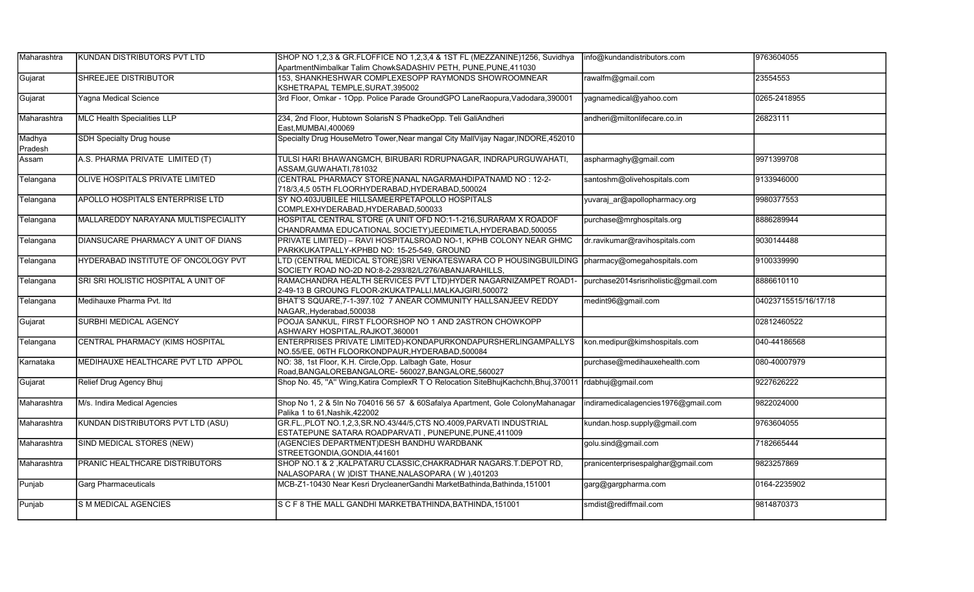| Maharashtra       | KUNDAN DISTRIBUTORS PVT LTD         | SHOP NO 1,2,3 & GR.FLOFFICE NO 1,2,3,4 & 1ST FL (MEZZANINE)1256, Suvidhya<br>ApartmentNimbalkar Talim ChowkSADASHIV PETH, PUNE, PUNE, 411030 | info@kundandistributors.com          | 9763604055           |
|-------------------|-------------------------------------|----------------------------------------------------------------------------------------------------------------------------------------------|--------------------------------------|----------------------|
| Gujarat           | SHREEJEE DISTRIBUTOR                | 153, SHANKHESHWAR COMPLEXESOPP RAYMONDS SHOWROOMNEAR<br>KSHETRAPAL TEMPLE,SURAT,395002                                                       | rawalfm@gmail.com                    | 23554553             |
| Gujarat           | <b>Yagna Medical Science</b>        | 3rd Floor, Omkar - 1Opp. Police Parade GroundGPO LaneRaopura, Vadodara, 390001                                                               | yagnamedical@yahoo.com               | 0265-2418955         |
| Maharashtra       | <b>MLC Health Specialities LLP</b>  | 234, 2nd Floor, Hubtown SolarisN S PhadkeOpp. Teli GaliAndheri<br>East,MUMBAI,400069                                                         | andheri@miltonlifecare.co.in         | 26823111             |
| Madhya<br>Pradesh | <b>SDH Specialty Drug house</b>     | Specialty Drug HouseMetro Tower, Near mangal City MallVijay Nagar, INDORE, 452010                                                            |                                      |                      |
| Assam             | A.S. PHARMA PRIVATE LIMITED (T)     | TULSI HARI BHAWANGMCH, BIRUBARI RDRUPNAGAR, INDRAPURGUWAHATI,<br>ASSAM, GUWAHATI, 781032                                                     | aspharmaghy@gmail.com                | 9971399708           |
| Telangana         | OLIVE HOSPITALS PRIVATE LIMITED     | (CENTRAL PHARMACY STORE)NANAL NAGARMAHDIPATNAMD NO : 12-2-<br>718/3,4,5 05TH FLOORHYDERABAD, HYDERABAD, 500024                               | santoshm@olivehospitals.com          | 9133946000           |
| Telangana         | APOLLO HOSPITALS ENTERPRISE LTD     | SY NO.403JUBILEE HILLSAMEERPETAPOLLO HOSPITALS<br>COMPLEXHYDERABAD, HYDERABAD, 500033                                                        | yuvaraj ar@apollopharmacy.org        | 9980377553           |
| Telangana         | MALLAREDDY NARAYANA MULTISPECIALITY | HOSPITAL CENTRAL STORE (A UNIT OFD NO:1-1-216, SURARAM X ROADOF<br>CHANDRAMMA EDUCATIONAL SOCIETY)JEEDIMETLA, HYDERABAD, 500055              | purchase@mrghospitals.org            | 8886289944           |
| Telangana         | DIANSUCARE PHARMACY A UNIT OF DIANS | PRIVATE LIMITED) - RAVI HOSPITALSROAD NO-1, KPHB COLONY NEAR GHMC<br>PARKKUKATPALLY-KPHBD NO: 15-25-549, GROUND                              | dr.ravikumar@ravihospitals.com       | 9030144488           |
| Telangana         | HYDERABAD INSTITUTE OF ONCOLOGY PVT | LTD (CENTRAL MEDICAL STORE)SRI VENKATESWARA CO P HOUSINGBUILDING<br>SOCIETY ROAD NO-2D NO:8-2-293/82/L/276/ABANJARAHILLS,                    | pharmacy@omegahospitals.com          | 9100339990           |
| Telangana         | SRI SRI HOLISTIC HOSPITAL A UNIT OF | RAMACHANDRA HEALTH SERVICES PVT LTD)HYDER NAGARNIZAMPET ROAD1-<br>2-49-13 B GROUNG FLOOR-2KUKATPALLI, MALKAJGIRI, 500072                     | purchase2014srisriholistic@gmail.com | 8886610110           |
| Telangana         | Medihauxe Pharma Pvt. Itd           | BHAT'S SQUARE, 7-1-397.102 7 ANEAR COMMUNITY HALLSANJEEV REDDY<br>NAGAR, Hyderabad, 500038                                                   | medint96@gmail.com                   | 04023715515/16/17/18 |
| Gujarat           | SURBHI MEDICAL AGENCY               | POOJA SANKUL, FIRST FLOORSHOP NO 1 AND 2ASTRON CHOWKOPP<br>ASHWARY HOSPITAL,RAJKOT,360001                                                    |                                      | 02812460522          |
| Telangana         | CENTRAL PHARMACY (KIMS HOSPITAL     | ENTERPRISES PRIVATE LIMITED)-KONDAPURKONDAPURSHERLINGAMPALLYS<br>NO.55/EE, 06TH FLOORKONDPAUR, HYDERABAD, 500084                             | kon.medipur@kimshospitals.com        | 040-44186568         |
| İKarnataka        | MEDIHAUXE HEALTHCARE PVT LTD APPOL  | NO: 38, 1st Floor, K.H. Circle, Opp. Lalbagh Gate, Hosur<br>Road, BANGALOREBANGALORE- 560027, BANGALORE, 560027                              | purchase@medihauxehealth.com         | 080-40007979         |
| Gujarat           | Relief Drug Agency Bhuj             | Shop No. 45, "A" Wing, Katira ComplexR T O Relocation SiteBhujKachchh, Bhuj, 370011  rdabhuj@gmail.com                                       |                                      | 9227626222           |
| Maharashtra       | M/s. Indira Medical Agencies        | Shop No 1, 2 & 5In No 704016 56 57 & 60Safalya Apartment, Gole ColonyMahanagar<br>Palika 1 to 61.Nashik.422002                               | indiramedicalagencies1976@gmail.com  | 9822024000           |
| Maharashtra       | KUNDAN DISTRIBUTORS PVT LTD (ASU)   | GR.FL., PLOT NO.1,2,3,SR.NO.43/44/5,CTS NO.4009, PARVATI INDUSTRIAL<br>ESTATEPUNE SATARA ROADPARVATI, PUNEPUNE, PUNE, 411009                 | kundan.hosp.supply@gmail.com         | 9763604055           |
| Maharashtra       | SIND MEDICAL STORES (NEW)           | (AGENCIES DEPARTMENT) DESH BANDHU WARDBANK<br>STREETGONDIA, GONDIA, 441601                                                                   | golu.sind@gmail.com                  | 7182665444           |
| Maharashtra       | PRANIC HEALTHCARE DISTRIBUTORS      | SHOP NO.1 & 2, KALPATARU CLASSIC, CHAKRADHAR NAGARS.T. DEPOT RD,<br>NALASOPARA (W) DIST THANE, NALASOPARA (W), 401203                        | pranicenterprisespalghar@gmail.com   | 9823257869           |
| Punjab            | <b>Garg Pharmaceuticals</b>         | MCB-Z1-10430 Near Kesri DrycleanerGandhi MarketBathinda, Bathinda, 151001                                                                    | garg@gargpharma.com                  | 0164-2235902         |
| Punjab            | <b>S M MEDICAL AGENCIES</b>         | SCF8 THE MALL GANDHI MARKETBATHINDA, BATHINDA, 151001                                                                                        | smdist@rediffmail.com                | 9814870373           |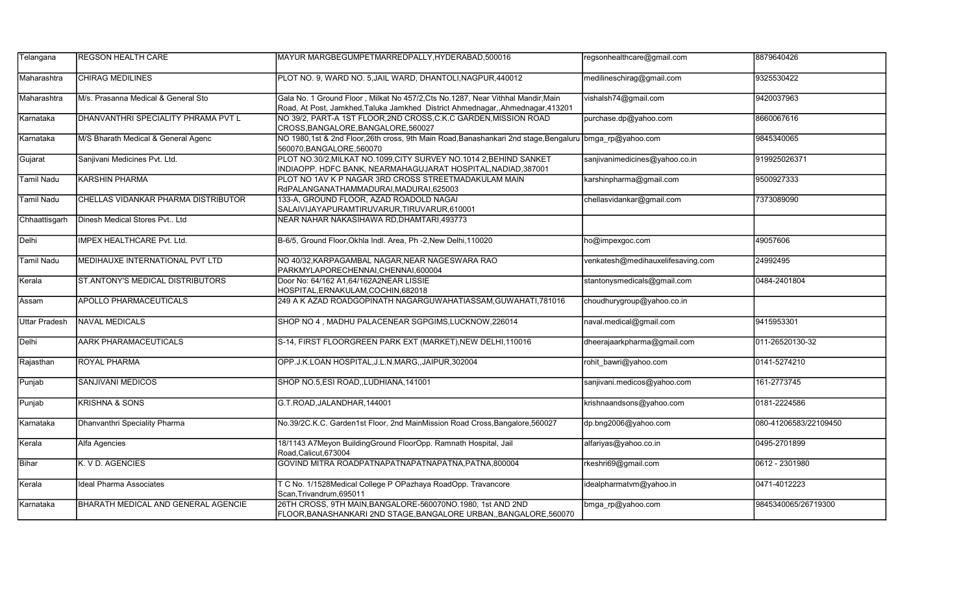| Telangana            | <b>IREGSON HEALTH CARE</b>                 | MAYUR MARGBEGUMPETMARREDPALLY.HYDERABAD.500016                                                                                                                      | regsonhealthcare@gmail.com        | 8879640426            |
|----------------------|--------------------------------------------|---------------------------------------------------------------------------------------------------------------------------------------------------------------------|-----------------------------------|-----------------------|
| Maharashtra          | <b>CHIRAG MEDILINES</b>                    | PLOT NO. 9, WARD NO. 5, JAIL WARD, DHANTOLI, NAGPUR, 440012                                                                                                         | medilineschirag@gmail.com         | 9325530422            |
| Maharashtra          | M/s. Prasanna Medical & General Sto        | Gala No. 1 Ground Floor, Milkat No 457/2, Cts No. 1287, Near Vithhal Mandir, Main<br>Road, At Post, Jamkhed, Taluka Jamkhed District Ahmednagar, Ahmednagar, 413201 | vishalsh74@gmail.com              | 9420037963            |
| Karnataka            | DHANVANTHRI SPECIALITY PHRAMA PVT L        | NO 39/2, PART-A 1ST FLOOR, 2ND CROSS, C.K.C GARDEN, MISSION ROAD<br>CROSS, BANGALORE, BANGALORE, 560027                                                             | purchase.dp@yahoo.com             | 8660067616            |
| Karnataka            | M/S Bharath Medical & General Agenc        | NO 1980,1st & 2nd Floor,26th cross, 9th Main Road,Banashankari 2nd stage,Bengaluru bmga rp@yahoo.com<br>560070, BANGALORE, 560070                                   |                                   | 9845340065            |
| Gujarat              | Sanjivani Medicines Pvt. Ltd.              | PLOT NO.30/2, MILKAT NO.1099, CITY SURVEY NO.1014 2, BEHIND SANKET<br>INDIAOPP. HDFC BANK, NEARMAHAGUJARAT HOSPITAL, NADIAD, 387001                                 | sanjivanimedicines@yahoo.co.in    | 919925026371          |
| <b>Tamil Nadu</b>    | <b>KARSHIN PHARMA</b>                      | PLOT NO 1AV K P NAGAR 3RD CROSS STREETMADAKULAM MAIN<br>RdPALANGANATHAMMADURAI, MADURAI, 625003                                                                     | karshinpharma@gmail.com           | 9500927333            |
| <b>Tamil Nadu</b>    | CHELLAS VIDANKAR PHARMA DISTRIBUTOR        | 133-A, GROUND FLOOR, AZAD ROADOLD NAGAI<br>SALAIVIJAYAPURAMTIRUVARUR, TIRUVARUR, 610001                                                                             | chellasvidankar@gmail.com         | 7373089090            |
| Chhaattisgarh        | Dinesh Medical Stores Pvt Ltd              | NEAR NAHAR NAKASIHAWA RD, DHAMTARI, 493773                                                                                                                          |                                   |                       |
| Delhi                | <b>IMPEX HEALTHCARE Pvt. Ltd.</b>          | B-6/5, Ground Floor, Okhla Indl. Area, Ph -2, New Delhi, 110020                                                                                                     | ho@impexgoc.com                   | 49057606              |
| <b>Tamil Nadu</b>    | MEDIHAUXE INTERNATIONAL PVT LTD            | NO 40/32, KARPAGAMBAL NAGAR, NEAR NAGESWARA RAO<br>PARKMYLAPORECHENNAI, CHENNAI, 600004                                                                             | venkatesh@medihauxelifesaving.com | 24992495              |
| Kerala               | <b>ST.ANTONY'S MEDICAL DISTRIBUTORS</b>    | Door No: 64/162 A1,64/162A2NEAR LISSIE<br>HOSPITAL, ERNAKULAM, COCHIN, 682018                                                                                       | stantonysmedicals@gmail.com       | 0484-2401804          |
| Assam                | <b>APOLLO PHARMACEUTICALS</b>              | 249 A K AZAD ROADGOPINATH NAGARGUWAHATIASSAM, GUWAHATI, 781016                                                                                                      | choudhurygroup@yahoo.co.in        |                       |
| <b>Uttar Pradesh</b> | NAVAL MEDICALS                             | SHOP NO 4, MADHU PALACENEAR SGPGIMS, LUCKNOW, 226014                                                                                                                | naval.medical@gmail.com           | 9415953301            |
| Delhi                | <b>AARK PHARAMACEUTICALS</b>               | S-14, FIRST FLOORGREEN PARK EXT (MARKET), NEW DELHI, 110016                                                                                                         | dheerajaarkpharma@gmail.com       | 011-26520130-32       |
| Rajasthan            | <b>ROYAL PHARMA</b>                        | OPP.J.K.LOAN HOSPITAL, J.L.N.MARG, , JAIPUR, 302004                                                                                                                 | rohit bawri@yahoo.com             | 0141-5274210          |
| Punjab               | <b>SANJIVANI MEDICOS</b>                   | SHOP NO.5, ESI ROAD, LUDHIANA, 141001                                                                                                                               | sanjivani.medicos@yahoo.com       | 161-2773745           |
| Punjab               | <b>KRISHNA &amp; SONS</b>                  | G.T.ROAD, JALANDHAR, 144001                                                                                                                                         | krishnaandsons@yahoo.com          | 0181-2224586          |
| Karnataka            | Dhanvanthri Speciality Pharma              | No.39/2C.K.C. Garden1st Floor, 2nd MainMission Road Cross, Bangalore, 560027                                                                                        | dp.bng2006@yahoo.com              | 080-41206583/22109450 |
| Kerala               | Alfa Agencies                              | 18/1143 A7Meyon BuildingGround FloorOpp. Ramnath Hospital, Jail<br>Road, Calicut, 673004                                                                            | alfariyas@yahoo.co.in             | 0495-2701899          |
| Bihar                | K. V D. AGENCIES                           | GOVIND MITRA ROADPATNAPATNAPATNAPATNA, PATNA, 800004                                                                                                                | rkeshri69@gmail.com               | 0612 - 2301980        |
| Kerala               | Ideal Pharma Associates                    | T C No. 1/1528Medical College P OPazhaya RoadOpp. Travancore<br>Scan, Trivandrum, 695011                                                                            | idealpharmatvm@yahoo.in           | 0471-4012223          |
| Karnataka            | <b>BHARATH MEDICAL AND GENERAL AGENCIE</b> | 26TH CROSS, 9TH MAIN, BANGALORE-560070NO.1980, 1st AND 2ND<br>FLOOR, BANASHANKARI 2ND STAGE, BANGALORE URBAN,, BANGALORE, 560070                                    | bmga rp@yahoo.com                 | 9845340065/26719300   |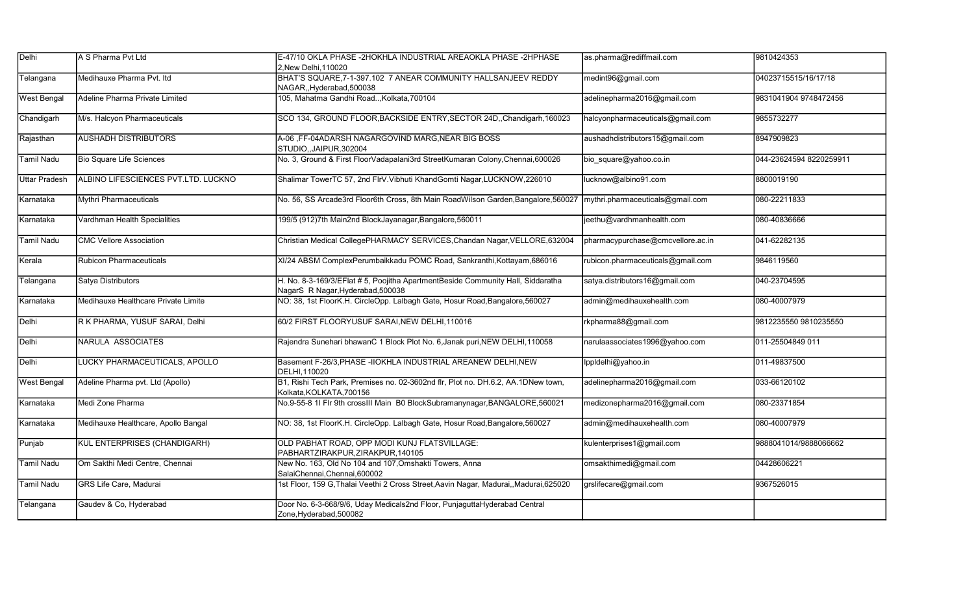| Delhi                | A S Pharma Pvt Ltd                  | E-47/10 OKLA PHASE -2HOKHLA INDUSTRIAL AREAOKLA PHASE -2HPHASE<br>2, New Delhi, 110020                               | as.pharma@rediffmail.com          | 9810424353              |
|----------------------|-------------------------------------|----------------------------------------------------------------------------------------------------------------------|-----------------------------------|-------------------------|
| Telangana            | Medihauxe Pharma Pvt. Itd           | BHAT'S SQUARE, 7-1-397.102 7 ANEAR COMMUNITY HALLSANJEEV REDDY<br>NAGAR, Hyderabad, 500038                           | medint96@gmail.com                | 04023715515/16/17/18    |
| <b>West Bengal</b>   | Adeline Pharma Private Limited      | 105, Mahatma Gandhi Road, Kolkata, 700104                                                                            | adelinepharma2016@gmail.com       | 9831041904 9748472456   |
| Chandigarh           | M/s. Halcyon Pharmaceuticals        | SCO 134, GROUND FLOOR, BACKSIDE ENTRY, SECTOR 24D,, Chandigarh, 160023                                               | halcyonpharmaceuticals@gmail.com  | 9855732277              |
| Rajasthan            | <b>AUSHADH DISTRIBUTORS</b>         | A-06, FF-04ADARSH NAGARGOVIND MARG, NEAR BIG BOSS<br>STUDIO,,JAIPUR,302004                                           | aushadhdistributors15@gmail.com   | 8947909823              |
| <b>Tamil Nadu</b>    | <b>Bio Square Life Sciences</b>     | No. 3, Ground & First FloorVadapalani3rd StreetKumaran Colony, Chennai, 600026                                       | bio_square@yahoo.co.in            | 044-23624594 8220259911 |
| <b>Uttar Pradesh</b> | ALBINO LIFESCIENCES PVT.LTD. LUCKNO | Shalimar TowerTC 57, 2nd FlrV. Vibhuti KhandGomti Nagar, LUCKNOW, 226010                                             | ucknow@albino91.com               | 8800019190              |
| Karnataka            | Mythri Pharmaceuticals              | No. 56, SS Arcade3rd Floor6th Cross, 8th Main RoadWilson Garden, Bangalore, 560027                                   | mythri.pharmaceuticals@gmail.com  | 080-22211833            |
| Karnataka            | Vardhman Health Specialities        | 199/5 (912)7th Main2nd BlockJayanagar,Bangalore,560011                                                               | jeethu@vardhmanhealth.com         | 080-40836666            |
| <b>Tamil Nadu</b>    | <b>CMC Vellore Association</b>      | Christian Medical CollegePHARMACY SERVICES, Chandan Nagar, VELLORE, 632004                                           | pharmacypurchase@cmcvellore.ac.in | 041-62282135            |
| Kerala               | <b>Rubicon Pharmaceuticals</b>      | XI/24 ABSM ComplexPerumbaikkadu POMC Road, Sankranthi, Kottayam, 686016                                              | rubicon.pharmaceuticals@gmail.com | 9846119560              |
| Telangana            | Satya Distributors                  | H. No. 8-3-169/3/EFlat # 5, Poojitha ApartmentBeside Community Hall, Siddaratha<br>NagarS R Nagar, Hyderabad, 500038 | satya.distributors16@gmail.com    | 040-23704595            |
| Karnataka            | Medihauxe Healthcare Private Limite | NO: 38, 1st FloorK.H. CircleOpp. Lalbagh Gate, Hosur Road, Bangalore, 560027                                         | admin@medihauxehealth.com         | 080-40007979            |
| Delhi                | R K PHARMA, YUSUF SARAI, Delhi      | 60/2 FIRST FLOORYUSUF SARAI, NEW DELHI, 110016                                                                       | rkpharma88@gmail.com              | 9812235550 9810235550   |
| Delhi                | NARULA ASSOCIATES                   | Rajendra Sunehari bhawanC 1 Block Plot No. 6, Janak puri, NEW DELHI, 110058                                          | narulaassociates1996@yahoo.com    | 011-25504849 011        |
| Delhi                | LUCKY PHARMACEUTICALS, APOLLO       | Basement F-26/3, PHASE -IIOKHLA INDUSTRIAL AREANEW DELHI, NEW<br>DELHI.110020                                        | lppldelhi@yahoo.in                | 011-49837500            |
| <b>West Bengal</b>   | Adeline Pharma pvt. Ltd (Apollo)    | B1, Rishi Tech Park, Premises no. 02-3602nd flr, Plot no. DH.6.2, AA.1DNew town,<br>Kolkata, KOLKATA, 700156         | adelinepharma2016@gmail.com       | 033-66120102            |
| Karnataka            | Medi Zone Pharma                    | No.9-55-8 1I Flr 9th crossIII Main B0 BlockSubramanynagar, BANGALORE, 560021                                         | medizonepharma2016@gmail.com      | 080-23371854            |
| Karnataka            | Medihauxe Healthcare, Apollo Bangal | NO: 38, 1st FloorK.H. CircleOpp. Lalbagh Gate, Hosur Road, Bangalore, 560027                                         | admin@medihauxehealth.com         | 080-40007979            |
| Punjab               | KUL ENTERPRISES (CHANDIGARH)        | OLD PABHAT ROAD, OPP MODI KUNJ FLATSVILLAGE:<br>PABHARTZIRAKPUR, ZIRAKPUR, 140105                                    | kulenterprises1@gmail.com         | 9888041014/9888066662   |
| <b>Tamil Nadu</b>    | Om Sakthi Medi Centre, Chennai      | New No. 163, Old No 104 and 107, Omshakti Towers, Anna<br>SalaiChennai, Chennai, 600002                              | omsakthimedi@gmail.com            | 04428606221             |
| <b>Tamil Nadu</b>    | <b>GRS Life Care, Madurai</b>       | 1st Floor, 159 G, Thalai Veethi 2 Cross Street, Aavin Nagar, Madurai, Madurai, 625020                                | grslifecare@gmail.com             | 9367526015              |
| Telangana            | Gaudev & Co, Hyderabad              | Door No. 6-3-668/9/6, Uday Medicals2nd Floor, PunjaguttaHyderabad Central<br>Zone, Hyderabad, 500082                 |                                   |                         |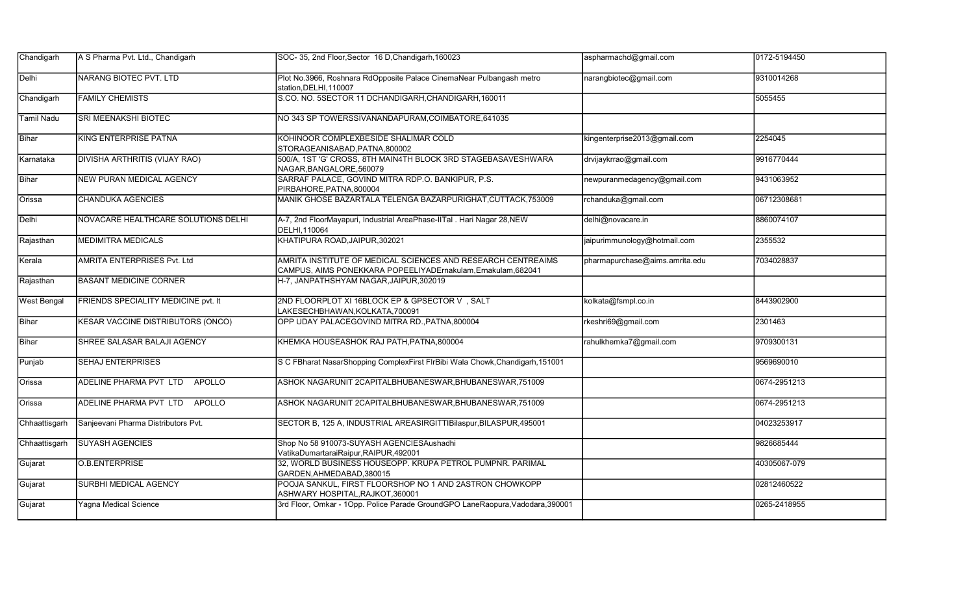| Chandigarh         | A S Pharma Pvt. Ltd., Chandigarh         | SOC-35, 2nd Floor, Sector 16 D, Chandigarh, 160023                                                                            | aspharmachd@gmail.com          | 0172-5194450 |
|--------------------|------------------------------------------|-------------------------------------------------------------------------------------------------------------------------------|--------------------------------|--------------|
| Delhi              | NARANG BIOTEC PVT. LTD                   | Plot No.3966, Roshnara RdOpposite Palace CinemaNear Pulbangash metro<br>station, DELHI, 110007                                | narangbiotec@gmail.com         | 9310014268   |
| Chandigarh         | <b>FAMILY CHEMISTS</b>                   | S.CO. NO. 5SECTOR 11 DCHANDIGARH, CHANDIGARH, 160011                                                                          |                                | 5055455      |
| <b>Tamil Nadu</b>  | SRI MEENAKSHI BIOTEC                     | NO 343 SP TOWERSSIVANANDAPURAM, COIMBATORE, 641035                                                                            |                                |              |
| Bihar              | <b>KING ENTERPRISE PATNA</b>             | KOHINOOR COMPLEXBESIDE SHALIMAR COLD<br>STORAGEANISABAD, PATNA, 800002                                                        | kingenterprise2013@gmail.com   | 2254045      |
| Karnataka          | <b>DIVISHA ARTHRITIS (VIJAY RAO)</b>     | 500/A, 1ST 'G' CROSS, 8TH MAIN4TH BLOCK 3RD STAGEBASAVESHWARA<br>NAGAR, BANGALORE, 560079                                     | drvijaykrrao@gmail.com         | 9916770444   |
| Bihar              | <b>NEW PURAN MEDICAL AGENCY</b>          | SARRAF PALACE, GOVIND MITRA RDP.O. BANKIPUR, P.S.<br>PIRBAHORE, PATNA, 800004                                                 | newpuranmedagency@gmail.com    | 9431063952   |
| Orissa             | <b>CHANDUKA AGENCIES</b>                 | MANIK GHOSE BAZARTALA TELENGA BAZARPURIGHAT, CUTTACK, 753009                                                                  | rchanduka@gmail.com            | 06712308681  |
| Delhi              | NOVACARE HEALTHCARE SOLUTIONS DELHI      | A-7, 2nd FloorMayapuri, Industrial AreaPhase-IITal . Hari Nagar 28, NEW<br>DELHI.110064                                       | delhi@novacare.in              | 8860074107   |
| Rajasthan          | <b>MEDIMITRA MEDICALS</b>                | KHATIPURA ROAD, JAIPUR, 302021                                                                                                | jaipurimmunology@hotmail.com   | 2355532      |
| Kerala             | AMRITA ENTERPRISES Pvt. Ltd              | AMRITA INSTITUTE OF MEDICAL SCIENCES AND RESEARCH CENTREAIMS<br>CAMPUS, AIMS PONEKKARA POPEELIYADErnakulam, Ernakulam, 682041 | pharmapurchase@aims.amrita.edu | 7034028837   |
| Rajasthan          | <b>BASANT MEDICINE CORNER</b>            | H-7, JANPATHSHYAM NAGAR, JAIPUR, 302019                                                                                       |                                |              |
| <b>West Bengal</b> | FRIENDS SPECIALITY MEDICINE pvt. It      | 2ND FLOORPLOT XI 16BLOCK EP & GPSECTOR V, SALT<br>LAKESECHBHAWAN, KOLKATA, 700091                                             | kolkata@fsmpl.co.in            | 8443902900   |
| Bihar              | <b>KESAR VACCINE DISTRIBUTORS (ONCO)</b> | OPP UDAY PALACEGOVIND MITRA RD., PATNA, 800004                                                                                | rkeshri69@gmail.com            | 2301463      |
| Bihar              | SHREE SALASAR BALAJI AGENCY              | KHEMKA HOUSEASHOK RAJ PATH, PATNA, 800004                                                                                     | rahulkhemka7@gmail.com         | 9709300131   |
| Punjab             | <b>SEHAJ ENTERPRISES</b>                 | S C FBharat NasarShopping ComplexFirst FlrBibi Wala Chowk, Chandigarh, 151001                                                 |                                | 9569690010   |
| Orissa             | ADELINE PHARMA PVT LTD<br>APOLLO         | ASHOK NAGARUNIT 2CAPITALBHUBANESWAR, BHUBANESWAR, 751009                                                                      |                                | 0674-2951213 |
| Orissa             | ADELINE PHARMA PVT LTD APOLLO            | ASHOK NAGARUNIT 2CAPITALBHUBANESWAR, BHUBANESWAR, 751009                                                                      |                                | 0674-2951213 |
| Chhaattisgarh      | Sanjeevani Pharma Distributors Pvt.      | SECTOR B, 125 A, INDUSTRIAL AREASIRGITTIBilaspur, BILASPUR, 495001                                                            |                                | 04023253917  |
| Chhaattisgarh      | <b>SUYASH AGENCIES</b>                   | Shop No 58 910073-SUYASH AGENCIESAushadhi<br>VatikaDumartaraiRaipur,RAIPUR,492001                                             |                                | 9826685444   |
| Gujarat            | <b>O.B.ENTERPRISE</b>                    | 32, WORLD BUSINESS HOUSEOPP. KRUPA PETROL PUMPNR. PARIMAL<br>GARDEN, AHMEDABAD, 380015                                        |                                | 40305067-079 |
| Gujarat            | <b>SURBHI MEDICAL AGENCY</b>             | POOJA SANKUL, FIRST FLOORSHOP NO 1 AND 2ASTRON CHOWKOPP<br>ASHWARY HOSPITAL, RAJKOT, 360001                                   |                                | 02812460522  |
| Gujarat            | <b>Yagna Medical Science</b>             | 3rd Floor, Omkar - 1Opp. Police Parade GroundGPO LaneRaopura, Vadodara, 390001                                                |                                | 0265-2418955 |